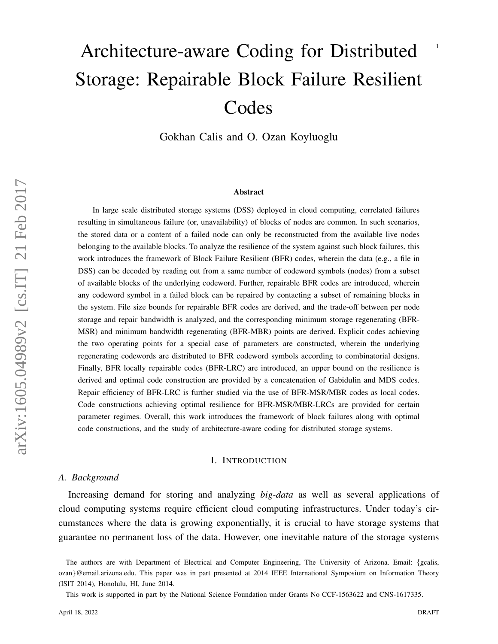# <sup>1</sup> Architecture-aware Coding for Distributed Storage: Repairable Block Failure Resilient Codes

Gokhan Calis and O. Ozan Koyluoglu

### Abstract

In large scale distributed storage systems (DSS) deployed in cloud computing, correlated failures resulting in simultaneous failure (or, unavailability) of blocks of nodes are common. In such scenarios, the stored data or a content of a failed node can only be reconstructed from the available live nodes belonging to the available blocks. To analyze the resilience of the system against such block failures, this work introduces the framework of Block Failure Resilient (BFR) codes, wherein the data (e.g., a file in DSS) can be decoded by reading out from a same number of codeword symbols (nodes) from a subset of available blocks of the underlying codeword. Further, repairable BFR codes are introduced, wherein any codeword symbol in a failed block can be repaired by contacting a subset of remaining blocks in the system. File size bounds for repairable BFR codes are derived, and the trade-off between per node storage and repair bandwidth is analyzed, and the corresponding minimum storage regenerating (BFR-MSR) and minimum bandwidth regenerating (BFR-MBR) points are derived. Explicit codes achieving the two operating points for a special case of parameters are constructed, wherein the underlying regenerating codewords are distributed to BFR codeword symbols according to combinatorial designs. Finally, BFR locally repairable codes (BFR-LRC) are introduced, an upper bound on the resilience is derived and optimal code construction are provided by a concatenation of Gabidulin and MDS codes. Repair efficiency of BFR-LRC is further studied via the use of BFR-MSR/MBR codes as local codes. Code constructions achieving optimal resilience for BFR-MSR/MBR-LRCs are provided for certain parameter regimes. Overall, this work introduces the framework of block failures along with optimal code constructions, and the study of architecture-aware coding for distributed storage systems.

## I. INTRODUCTION

#### *A. Background*

Increasing demand for storing and analyzing *big-data* as well as several applications of cloud computing systems require efficient cloud computing infrastructures. Under today's circumstances where the data is growing exponentially, it is crucial to have storage systems that guarantee no permanent loss of the data. However, one inevitable nature of the storage systems

This work is supported in part by the National Science Foundation under Grants No CCF-1563622 and CNS-1617335.

The authors are with Department of Electrical and Computer Engineering, The University of Arizona. Email: {gcalis, ozan}@email.arizona.edu. This paper was in part presented at 2014 IEEE International Symposium on Information Theory (ISIT 2014), Honolulu, HI, June 2014.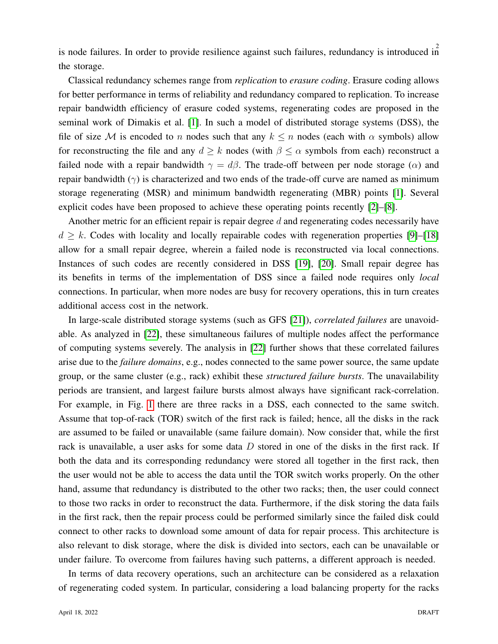is node failures. In order to provide resilience against such failures, redundancy is introduced in the storage.

Classical redundancy schemes range from *replication* to *erasure coding*. Erasure coding allows for better performance in terms of reliability and redundancy compared to replication. To increase repair bandwidth efficiency of erasure coded systems, regenerating codes are proposed in the seminal work of Dimakis et al. [\[1\]](#page-36-0). In such a model of distributed storage systems (DSS), the file of size M is encoded to n nodes such that any  $k \leq n$  nodes (each with  $\alpha$  symbols) allow for reconstructing the file and any  $d \geq k$  nodes (with  $\beta \leq \alpha$  symbols from each) reconstruct a failed node with a repair bandwidth  $\gamma = d\beta$ . The trade-off between per node storage ( $\alpha$ ) and repair bandwidth ( $\gamma$ ) is characterized and two ends of the trade-off curve are named as minimum storage regenerating (MSR) and minimum bandwidth regenerating (MBR) points [\[1\]](#page-36-0). Several explicit codes have been proposed to achieve these operating points recently [\[2\]](#page-36-1)–[\[8\]](#page-36-2).

Another metric for an efficient repair is repair degree d and regenerating codes necessarily have  $d \geq k$ . Codes with locality and locally repairable codes with regeneration properties [\[9\]](#page-36-3)–[\[18\]](#page-36-4) allow for a small repair degree, wherein a failed node is reconstructed via local connections. Instances of such codes are recently considered in DSS [\[19\]](#page-36-5), [\[20\]](#page-36-6). Small repair degree has its benefits in terms of the implementation of DSS since a failed node requires only *local* connections. In particular, when more nodes are busy for recovery operations, this in turn creates additional access cost in the network.

In large-scale distributed storage systems (such as GFS [\[21\]](#page-36-7)), *correlated failures* are unavoidable. As analyzed in [\[22\]](#page-36-8), these simultaneous failures of multiple nodes affect the performance of computing systems severely. The analysis in [\[22\]](#page-36-8) further shows that these correlated failures arise due to the *failure domains*, e.g., nodes connected to the same power source, the same update group, or the same cluster (e.g., rack) exhibit these *structured failure bursts*. The unavailability periods are transient, and largest failure bursts almost always have significant rack-correlation. For example, in Fig. [1](#page-2-0) there are three racks in a DSS, each connected to the same switch. Assume that top-of-rack (TOR) switch of the first rack is failed; hence, all the disks in the rack are assumed to be failed or unavailable (same failure domain). Now consider that, while the first rack is unavailable, a user asks for some data  $D$  stored in one of the disks in the first rack. If both the data and its corresponding redundancy were stored all together in the first rack, then the user would not be able to access the data until the TOR switch works properly. On the other hand, assume that redundancy is distributed to the other two racks; then, the user could connect to those two racks in order to reconstruct the data. Furthermore, if the disk storing the data fails in the first rack, then the repair process could be performed similarly since the failed disk could connect to other racks to download some amount of data for repair process. This architecture is also relevant to disk storage, where the disk is divided into sectors, each can be unavailable or under failure. To overcome from failures having such patterns, a different approach is needed.

In terms of data recovery operations, such an architecture can be considered as a relaxation of regenerating coded system. In particular, considering a load balancing property for the racks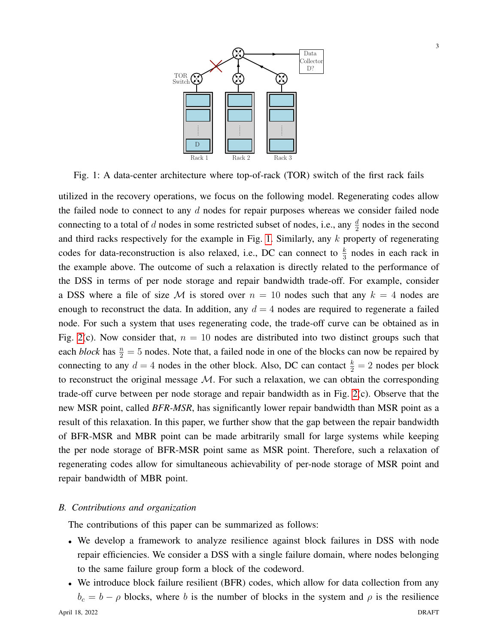<span id="page-2-0"></span>

Fig. 1: A data-center architecture where top-of-rack (TOR) switch of the first rack fails

utilized in the recovery operations, we focus on the following model. Regenerating codes allow the failed node to connect to any  $d$  nodes for repair purposes whereas we consider failed node connecting to a total of d nodes in some restricted subset of nodes, i.e., any  $\frac{d}{2}$  nodes in the second and third racks respectively for the example in Fig. [1.](#page-2-0) Similarly, any  $k$  property of regenerating codes for data-reconstruction is also relaxed, i.e., DC can connect to  $\frac{k}{3}$  nodes in each rack in the example above. The outcome of such a relaxation is directly related to the performance of the DSS in terms of per node storage and repair bandwidth trade-off. For example, consider a DSS where a file of size M is stored over  $n = 10$  nodes such that any  $k = 4$  nodes are enough to reconstruct the data. In addition, any  $d = 4$  nodes are required to regenerate a failed node. For such a system that uses regenerating code, the trade-off curve can be obtained as in Fig. [2\(](#page-3-0)c). Now consider that,  $n = 10$  nodes are distributed into two distinct groups such that each *block* has  $\frac{n}{2} = 5$  nodes. Note that, a failed node in one of the blocks can now be repaired by connecting to any  $d = 4$  nodes in the other block. Also, DC can contact  $\frac{k}{2} = 2$  nodes per block to reconstruct the original message  $M$ . For such a relaxation, we can obtain the corresponding trade-off curve between per node storage and repair bandwidth as in Fig. [2\(](#page-3-0)c). Observe that the new MSR point, called *BFR-MSR*, has significantly lower repair bandwidth than MSR point as a result of this relaxation. In this paper, we further show that the gap between the repair bandwidth of BFR-MSR and MBR point can be made arbitrarily small for large systems while keeping the per node storage of BFR-MSR point same as MSR point. Therefore, such a relaxation of regenerating codes allow for simultaneous achievability of per-node storage of MSR point and repair bandwidth of MBR point.

## *B. Contributions and organization*

The contributions of this paper can be summarized as follows:

- We develop a framework to analyze resilience against block failures in DSS with node repair efficiencies. We consider a DSS with a single failure domain, where nodes belonging to the same failure group form a block of the codeword.
- We introduce block failure resilient (BFR) codes, which allow for data collection from any  $b_c = b - \rho$  blocks, where b is the number of blocks in the system and  $\rho$  is the resilience April 18, 2022 DRAFT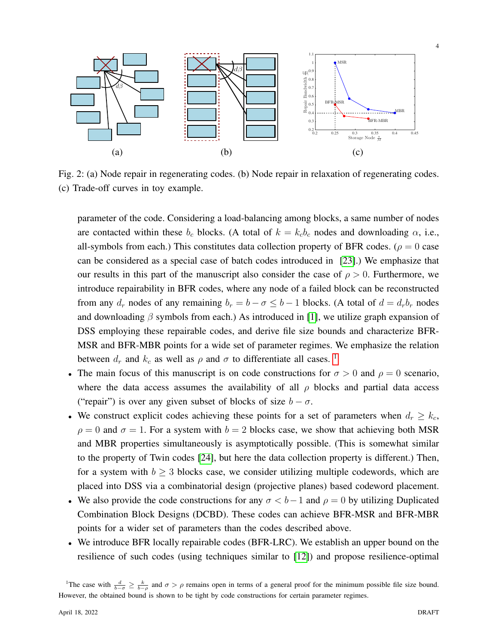<span id="page-3-0"></span>

Fig. 2: (a) Node repair in regenerating codes. (b) Node repair in relaxation of regenerating codes. (c) Trade-off curves in toy example.

parameter of the code. Considering a load-balancing among blocks, a same number of nodes are contacted within these  $b_c$  blocks. (A total of  $k = k_c b_c$  nodes and downloading  $\alpha$ , i.e., all-symbols from each.) This constitutes data collection property of BFR codes. ( $\rho = 0$  case can be considered as a special case of batch codes introduced in [\[23\]](#page-36-9).) We emphasize that our results in this part of the manuscript also consider the case of  $\rho > 0$ . Furthermore, we introduce repairability in BFR codes, where any node of a failed block can be reconstructed from any  $d_r$  nodes of any remaining  $b_r = b - \sigma \leq b - 1$  blocks. (A total of  $d = d_r b_r$  nodes and downloading  $\beta$  symbols from each.) As introduced in [\[1\]](#page-36-0), we utilize graph expansion of DSS employing these repairable codes, and derive file size bounds and characterize BFR-MSR and BFR-MBR points for a wide set of parameter regimes. We emphasize the relation between  $d_r$  and  $k_c$  as well as  $\rho$  and  $\sigma$  to differentiate all cases. <sup>[1](#page-3-1)</sup>

- The main focus of this manuscript is on code constructions for  $\sigma > 0$  and  $\rho = 0$  scenario, where the data access assumes the availability of all  $\rho$  blocks and partial data access ("repair") is over any given subset of blocks of size  $b - \sigma$ .
- We construct explicit codes achieving these points for a set of parameters when  $d_r \geq k_c$ ,  $\rho = 0$  and  $\sigma = 1$ . For a system with  $b = 2$  blocks case, we show that achieving both MSR and MBR properties simultaneously is asymptotically possible. (This is somewhat similar to the property of Twin codes [\[24\]](#page-37-0), but here the data collection property is different.) Then, for a system with  $b \geq 3$  blocks case, we consider utilizing multiple codewords, which are placed into DSS via a combinatorial design (projective planes) based codeword placement.
- We also provide the code constructions for any  $\sigma < b-1$  and  $\rho = 0$  by utilizing Duplicated Combination Block Designs (DCBD). These codes can achieve BFR-MSR and BFR-MBR points for a wider set of parameters than the codes described above.
- We introduce BFR locally repairable codes (BFR-LRC). We establish an upper bound on the resilience of such codes (using techniques similar to [\[12\]](#page-36-10)) and propose resilience-optimal

<span id="page-3-1"></span><sup>&</sup>lt;sup>1</sup>The case with  $\frac{d}{b-\sigma} \ge \frac{k}{b-\rho}$  and  $\sigma > \rho$  remains open in terms of a general proof for the minimum possible file size bound. However, the obtained bound is shown to be tight by code constructions for certain parameter regimes.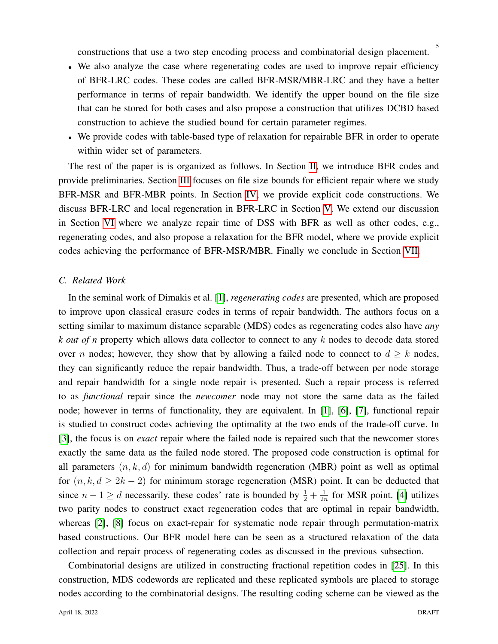- We also analyze the case where regenerating codes are used to improve repair efficiency of BFR-LRC codes. These codes are called BFR-MSR/MBR-LRC and they have a better performance in terms of repair bandwidth. We identify the upper bound on the file size that can be stored for both cases and also propose a construction that utilizes DCBD based construction to achieve the studied bound for certain parameter regimes.
- We provide codes with table-based type of relaxation for repairable BFR in order to operate within wider set of parameters.

The rest of the paper is is organized as follows. In Section [II,](#page-6-0) we introduce BFR codes and provide preliminaries. Section [III](#page-9-0) focuses on file size bounds for efficient repair where we study BFR-MSR and BFR-MBR points. In Section [IV,](#page-17-0) we provide explicit code constructions. We discuss BFR-LRC and local regeneration in BFR-LRC in Section [V.](#page-24-0) We extend our discussion in Section [VI](#page-30-0) where we analyze repair time of DSS with BFR as well as other codes, e.g., regenerating codes, and also propose a relaxation for the BFR model, where we provide explicit codes achieving the performance of BFR-MSR/MBR. Finally we conclude in Section [VII.](#page-35-0)

## *C. Related Work*

In the seminal work of Dimakis et al. [\[1\]](#page-36-0), *regenerating codes* are presented, which are proposed to improve upon classical erasure codes in terms of repair bandwidth. The authors focus on a setting similar to maximum distance separable (MDS) codes as regenerating codes also have *any k out of n* property which allows data collector to connect to any k nodes to decode data stored over n nodes; however, they show that by allowing a failed node to connect to  $d \geq k$  nodes, they can significantly reduce the repair bandwidth. Thus, a trade-off between per node storage and repair bandwidth for a single node repair is presented. Such a repair process is referred to as *functional* repair since the *newcomer* node may not store the same data as the failed node; however in terms of functionality, they are equivalent. In [\[1\]](#page-36-0), [\[6\]](#page-36-11), [\[7\]](#page-36-12), functional repair is studied to construct codes achieving the optimality at the two ends of the trade-off curve. In [\[3\]](#page-36-13), the focus is on *exact* repair where the failed node is repaired such that the newcomer stores exactly the same data as the failed node stored. The proposed code construction is optimal for all parameters  $(n, k, d)$  for minimum bandwidth regeneration (MBR) point as well as optimal for  $(n, k, d \geq 2k - 2)$  for minimum storage regeneration (MSR) point. It can be deducted that since  $n - 1 \ge d$  necessarily, these codes' rate is bounded by  $\frac{1}{2} + \frac{1}{2i}$  $\frac{1}{2n}$  for MSR point. [\[4\]](#page-36-14) utilizes two parity nodes to construct exact regeneration codes that are optimal in repair bandwidth, whereas [\[2\]](#page-36-1), [\[8\]](#page-36-2) focus on exact-repair for systematic node repair through permutation-matrix based constructions. Our BFR model here can be seen as a structured relaxation of the data collection and repair process of regenerating codes as discussed in the previous subsection.

Combinatorial designs are utilized in constructing fractional repetition codes in [\[25\]](#page-37-1). In this construction, MDS codewords are replicated and these replicated symbols are placed to storage nodes according to the combinatorial designs. The resulting coding scheme can be viewed as the

5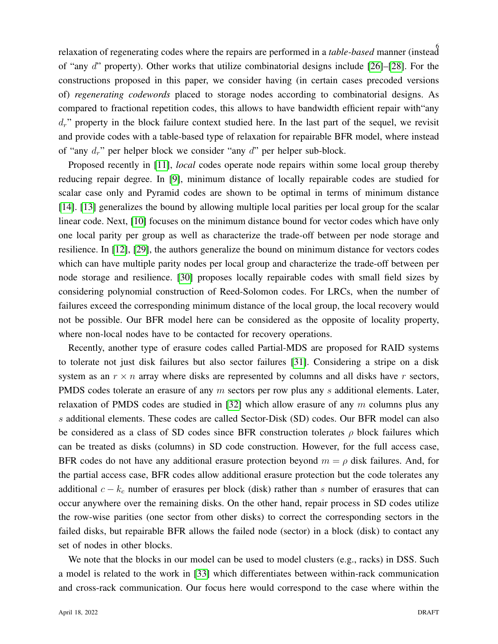6 relaxation of regenerating codes where the repairs are performed in a *table-based* manner (instead of "any d" property). Other works that utilize combinatorial designs include [\[26\]](#page-37-2)–[\[28\]](#page-37-3). For the constructions proposed in this paper, we consider having (in certain cases precoded versions of) *regenerating codewords* placed to storage nodes according to combinatorial designs. As compared to fractional repetition codes, this allows to have bandwidth efficient repair with"any  $d_r$ " property in the block failure context studied here. In the last part of the sequel, we revisit and provide codes with a table-based type of relaxation for repairable BFR model, where instead of "any  $d_r$ " per helper block we consider "any  $d$ " per helper sub-block.

Proposed recently in [\[11\]](#page-36-15), *local* codes operate node repairs within some local group thereby reducing repair degree. In [\[9\]](#page-36-3), minimum distance of locally repairable codes are studied for scalar case only and Pyramid codes are shown to be optimal in terms of minimum distance [\[14\]](#page-36-16). [\[13\]](#page-36-17) generalizes the bound by allowing multiple local parities per local group for the scalar linear code. Next, [\[10\]](#page-36-18) focuses on the minimum distance bound for vector codes which have only one local parity per group as well as characterize the trade-off between per node storage and resilience. In [\[12\]](#page-36-10), [\[29\]](#page-37-4), the authors generalize the bound on minimum distance for vectors codes which can have multiple parity nodes per local group and characterize the trade-off between per node storage and resilience. [\[30\]](#page-37-5) proposes locally repairable codes with small field sizes by considering polynomial construction of Reed-Solomon codes. For LRCs, when the number of failures exceed the corresponding minimum distance of the local group, the local recovery would not be possible. Our BFR model here can be considered as the opposite of locality property, where non-local nodes have to be contacted for recovery operations.

Recently, another type of erasure codes called Partial-MDS are proposed for RAID systems to tolerate not just disk failures but also sector failures [\[31\]](#page-37-6). Considering a stripe on a disk system as an  $r \times n$  array where disks are represented by columns and all disks have r sectors, PMDS codes tolerate an erasure of any  $m$  sectors per row plus any  $s$  additional elements. Later, relaxation of PMDS codes are studied in [\[32\]](#page-37-7) which allow erasure of any  $m$  columns plus any s additional elements. These codes are called Sector-Disk (SD) codes. Our BFR model can also be considered as a class of SD codes since BFR construction tolerates  $\rho$  block failures which can be treated as disks (columns) in SD code construction. However, for the full access case, BFR codes do not have any additional erasure protection beyond  $m = \rho$  disk failures. And, for the partial access case, BFR codes allow additional erasure protection but the code tolerates any additional  $c - k_c$  number of erasures per block (disk) rather than s number of erasures that can occur anywhere over the remaining disks. On the other hand, repair process in SD codes utilize the row-wise parities (one sector from other disks) to correct the corresponding sectors in the failed disks, but repairable BFR allows the failed node (sector) in a block (disk) to contact any set of nodes in other blocks.

We note that the blocks in our model can be used to model clusters (e.g., racks) in DSS. Such a model is related to the work in [\[33\]](#page-37-8) which differentiates between within-rack communication and cross-rack communication. Our focus here would correspond to the case where within the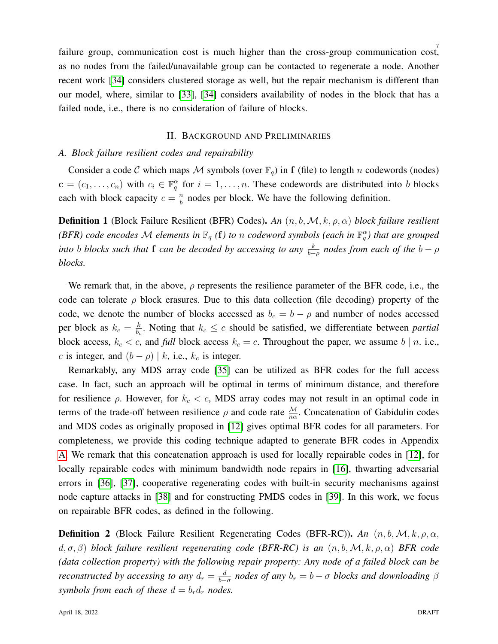7 failure group, communication cost is much higher than the cross-group communication cost, as no nodes from the failed/unavailable group can be contacted to regenerate a node. Another recent work [\[34\]](#page-37-9) considers clustered storage as well, but the repair mechanism is different than our model, where, similar to [\[33\]](#page-37-8), [\[34\]](#page-37-9) considers availability of nodes in the block that has a failed node, i.e., there is no consideration of failure of blocks.

## II. BACKGROUND AND PRELIMINARIES

## <span id="page-6-0"></span>*A. Block failure resilient codes and repairability*

Consider a code C which maps M symbols (over  $\mathbb{F}_q$ ) in f (file) to length n codewords (nodes)  $\mathbf{c} = (c_1, \dots, c_n)$  with  $c_i \in \mathbb{F}_q^{\alpha}$  for  $i = 1, \dots, n$ . These codewords are distributed into b blocks each with block capacity  $c = \frac{n}{b}$  $\frac{n}{b}$  nodes per block. We have the following definition.

<span id="page-6-1"></span>**Definition 1** (Block Failure Resilient (BFR) Codes). An  $(n, b, M, k, \rho, \alpha)$  block failure resilient *(BFR) code encodes*  $\mathcal M$  *elements in*  $\mathbb F_q$  *(f) to n codeword symbols (each in*  $\mathbb F_q^{\alpha}$ *) that are grouped into b blocks such that* **f** *can be decoded by accessing to any*  $\frac{k}{b-\rho}$  *nodes from each of the*  $b-\rho$ *blocks.*

We remark that, in the above,  $\rho$  represents the resilience parameter of the BFR code, i.e., the code can tolerate  $\rho$  block erasures. Due to this data collection (file decoding) property of the code, we denote the number of blocks accessed as  $b_c = b - \rho$  and number of nodes accessed per block as  $k_c = \frac{k}{b_c}$  $\frac{k}{b_c}$ . Noting that  $k_c \leq c$  should be satisfied, we differentiate between *partial* block access,  $k_c < c$ , and *full* block access  $k_c = c$ . Throughout the paper, we assume  $b \mid n$ . i.e., c is integer, and  $(b - \rho) | k$ , i.e.,  $k_c$  is integer.

Remarkably, any MDS array code [\[35\]](#page-37-10) can be utilized as BFR codes for the full access case. In fact, such an approach will be optimal in terms of minimum distance, and therefore for resilience  $\rho$ . However, for  $k_c < c$ , MDS array codes may not result in an optimal code in terms of the trade-off between resilience  $\rho$  and code rate  $\frac{M}{n\alpha}$ . Concatenation of Gabidulin codes and MDS codes as originally proposed in [\[12\]](#page-36-10) gives optimal BFR codes for all parameters. For completeness, we provide this coding technique adapted to generate BFR codes in Appendix [A.](#page-37-11) We remark that this concatenation approach is used for locally repairable codes in [\[12\]](#page-36-10), for locally repairable codes with minimum bandwidth node repairs in [\[16\]](#page-36-19), thwarting adversarial errors in [\[36\]](#page-37-12), [\[37\]](#page-37-13), cooperative regenerating codes with built-in security mechanisms against node capture attacks in [\[38\]](#page-37-14) and for constructing PMDS codes in [\[39\]](#page-37-15). In this work, we focus on repairable BFR codes, as defined in the following.

**Definition 2** (Block Failure Resilient Regenerating Codes (BFR-RC)). *An*  $(n, b, M, k, \rho, \alpha, k)$ d, σ, β) *block failure resilient regenerating code (BFR-RC) is an* (n, b,M, k, ρ, α) *BFR code (data collection property) with the following repair property: Any node of a failed block can be reconstructed by accessing to any*  $d_r = \frac{d}{b_r}$  $\frac{d}{b-\sigma}$  nodes of any  $b_r = b - \sigma$  blocks and downloading  $\beta$ *symbols from each of these*  $d = b_r d_r$  *nodes.*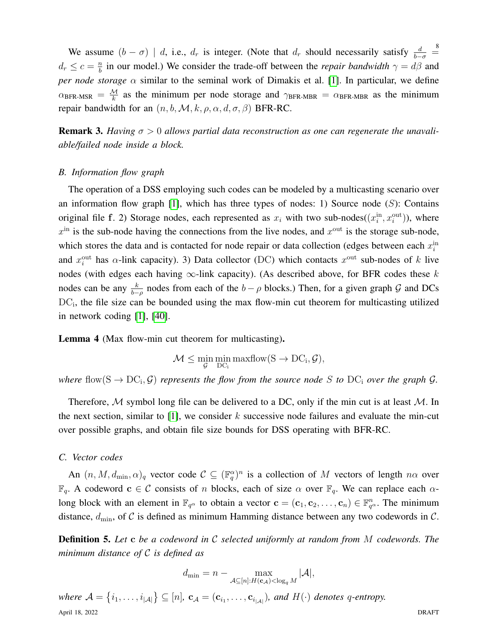We assume  $(b - \sigma)$  | d, i.e.,  $d_r$  is integer. (Note that  $d_r$  should necessarily satisfy  $\frac{d}{b-\sigma}$  =  $d_r \leq c = \frac{n}{b}$  $\frac{n}{b}$  in our model.) We consider the trade-off between the *repair bandwidth*  $\gamma = d\beta$  and *per node storage* α similar to the seminal work of Dimakis et al. [\[1\]](#page-36-0). In particular, we define  $\alpha_{\text{BFR-MSR}} = \frac{M}{k}$  as the minimum per node storage and  $\gamma_{\text{BFR-MBR}} = \alpha_{\text{BFR-MBR}}$  as the minimum repair bandwidth for an  $(n, b, \mathcal{M}, k, \rho, \alpha, d, \sigma, \beta)$  BFR-RC.

**Remark 3.** Having  $\sigma > 0$  allows partial data reconstruction as one can regenerate the unavali*able/failed node inside a block.*

## *B. Information flow graph*

The operation of a DSS employing such codes can be modeled by a multicasting scenario over an information flow graph  $[1]$ , which has three types of nodes: 1) Source node  $(S)$ : Contains original file f. 2) Storage nodes, each represented as  $x_i$  with two sub-nodes( $(x_i^{\text{in}}, x_i^{\text{out}})$ ), where  $x<sup>in</sup>$  is the sub-node having the connections from the live nodes, and  $x<sup>out</sup>$  is the storage sub-node, which stores the data and is contacted for node repair or data collection (edges between each  $x_i^{\text{in}}$ and  $x_i^{\text{out}}$  has  $\alpha$ -link capacity). 3) Data collector (DC) which contacts  $x^{\text{out}}$  sub-nodes of k live nodes (with edges each having  $\infty$ -link capacity). (As described above, for BFR codes these k nodes can be any  $\frac{k}{b-\rho}$  nodes from each of the  $b-\rho$  blocks.) Then, for a given graph G and DCs DC<sub>i</sub>, the file size can be bounded using the max flow-min cut theorem for multicasting utilized in network coding [\[1\]](#page-36-0), [\[40\]](#page-37-16).

Lemma 4 (Max flow-min cut theorem for multicasting).

 $\mathcal{M} \leq \min_{\mathcal{G}} \min_{\text{DC}_i} \maxflow(S \to \text{DC}_i, \mathcal{G}),$ 

where  $flow(S \rightarrow DC_i, \mathcal{G})$  represents the flow from the source node S to  $DC_i$  over the graph  $\mathcal{G}$ .

Therefore,  $M$  symbol long file can be delivered to a DC, only if the min cut is at least  $M$ . In the next section, similar to  $[1]$ , we consider k successive node failures and evaluate the min-cut over possible graphs, and obtain file size bounds for DSS operating with BFR-RC.

## *C. Vector codes*

An  $(n, M, d_{\min}, \alpha)_q$  vector code  $C \subseteq (\mathbb{F}_q^{\alpha})^n$  is a collection of M vectors of length  $n\alpha$  over  $\mathbb{F}_q$ . A codeword  $c \in \mathcal{C}$  consists of n blocks, each of size  $\alpha$  over  $\mathbb{F}_q$ . We can replace each  $\alpha$ long block with an element in  $\mathbb{F}_{q^{\alpha}}$  to obtain a vector  $\mathbf{c} = (\mathbf{c}_1, \mathbf{c}_2, \dots, \mathbf{c}_n) \in \mathbb{F}_{q^{\alpha}}^n$ . The minimum distance,  $d_{\text{min}}$ , of C is defined as minimum Hamming distance between any two codewords in C.

Definition 5. *Let* c *be a codeword in* C *selected uniformly at random from* M *codewords. The minimum distance of* C *is defined as*

$$
d_{\min} = n - \max_{\mathcal{A} \subseteq [n]: H(\mathbf{c}_{\mathcal{A}}) < \log_q M} |\mathcal{A}|,
$$

where  $\mathcal{A} = \{i_1, \ldots, i_{|\mathcal{A}|}\} \subseteq [n]$ ,  $\mathbf{c}_{\mathcal{A}} = (\mathbf{c}_{i_1}, \ldots, \mathbf{c}_{i_{|\mathcal{A}|}})$ , and  $H(\cdot)$  denotes q-entropy. April 18, 2022 DRAFT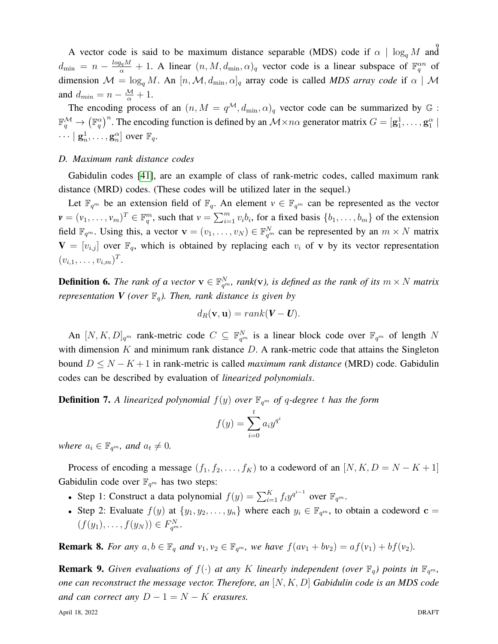A vector code is said to be maximum distance separable (MDS) code if  $\alpha \mid \log_q M$  and  $d_{\min} = n - \frac{log_q M}{\alpha} + 1$ . A linear  $(n, M, d_{\min}, \alpha)_q$  vector code is a linear subspace of  $\mathbb{F}_q^{\alpha n}$  of dimension  $\mathcal{M} = \log_q M$ . An  $[n, \mathcal{M}, d_{\min}, \alpha]_q$  array code is called *MDS array code* if  $\alpha \mid \mathcal{M}$ and  $d_{min} = n - \frac{M}{\alpha} + 1$ .

The encoding process of an  $(n, M = q^{\mathcal{M}}, d_{\min}, \alpha)_q$  vector code can be summarized by  $\mathbb{G}$ :  $\mathbb{F}_q^{\mathcal{M}} \to (\mathbb{F}_q^{\alpha})^n$ . The encoding function is defined by an  $\mathcal{M} \times n\alpha$  generator matrix  $G = [\mathbf{g}_1^1, \dots, \mathbf{g}_1^{\alpha}]$  $\cdots | \mathbf{g}_n^1, \ldots, \mathbf{g}_n^{\alpha} ]$  over  $\mathbb{F}_q$ .

## *D. Maximum rank distance codes*

Gabidulin codes [\[41\]](#page-37-17), are an example of class of rank-metric codes, called maximum rank distance (MRD) codes. (These codes will be utilized later in the sequel.)

Let  $\mathbb{F}_{q^m}$  be an extension field of  $\mathbb{F}_q$ . An element  $v \in \mathbb{F}_{q^m}$  can be represented as the vector  $\mathbf{v} = (v_1, \dots, v_m)^T \in \mathbb{F}_q^m$ , such that  $v = \sum_{i=1}^m v_i b_i$ , for a fixed basis  $\{b_1, \dots, b_m\}$  of the extension field  $\mathbb{F}_{q^m}$ . Using this, a vector  $\mathbf{v} = (v_1, \dots, v_N) \in \mathbb{F}_{q^m}^N$  can be represented by an  $m \times N$  matrix  ${\bf V} = [v_{i,j}]$  over  $\mathbb{F}_q$ , which is obtained by replacing each  $v_i$  of v by its vector representation  $(v_{i,1},\ldots,v_{i,m})^T$ .

**Definition 6.** The rank of a vector  $\mathbf{v} \in \mathbb{F}_{q^m}^N$ , rank(**v**), is defined as the rank of its  $m \times N$  matrix *representation V (over*  $\mathbb{F}_q$ *). Then, rank distance is given by* 

$$
d_R(\mathbf{v}, \mathbf{u}) = rank(\mathbf{V} - \mathbf{U}).
$$

An  $[N, K, D]_{q^m}$  rank-metric code  $C \subseteq \mathbb{F}_{q^m}^N$  is a linear block code over  $\mathbb{F}_{q^m}$  of length N with dimension  $K$  and minimum rank distance  $D$ . A rank-metric code that attains the Singleton bound D ≤ N − K + 1 in rank-metric is called *maximum rank distance* (MRD) code. Gabidulin codes can be described by evaluation of *linearized polynomials*.

**Definition 7.** A linearized polynomial  $f(y)$  over  $\mathbb{F}_{q^m}$  of q-degree t has the form

$$
f(y) = \sum_{i=0}^{t} a_i y^{q^i}
$$

*where*  $a_i \in \mathbb{F}_{q^m}$ *, and*  $a_t \neq 0$ *.* 

Process of encoding a message  $(f_1, f_2, \ldots, f_K)$  to a codeword of an  $[N, K, D = N - K + 1]$ Gabidulin code over  $\mathbb{F}_{q^m}$  has two steps:

- Step 1: Construct a data polynomial  $f(y) = \sum_{i=1}^{K} f_i y^{q^{i-1}}$  over  $\mathbb{F}_{q^m}$ .
- Step 2: Evaluate  $f(y)$  at  $\{y_1, y_2, \ldots, y_n\}$  where each  $y_i \in \mathbb{F}_{q^m}$ , to obtain a codeword  $c =$  $(f(y_1),...,f(y_N)) \in F_{q^m}^N$ .

**Remark 8.** For any  $a, b \in \mathbb{F}_q$  and  $v_1, v_2 \in \mathbb{F}_{q^m}$ , we have  $f(av_1 + bv_2) = af(v_1) + bf(v_2)$ .

**Remark 9.** Given evaluations of  $f(\cdot)$  at any K linearly independent (over  $\mathbb{F}_q$ ) points in  $\mathbb{F}_{q^m}$ , *one can reconstruct the message vector. Therefore, an* [N, K, D] *Gabidulin code is an MDS code and can correct any*  $D - 1 = N - K$  *erasures.*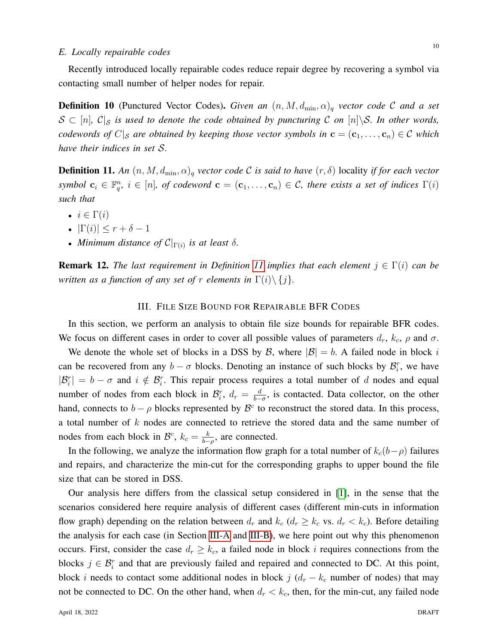## *E. Locally repairable codes*

Recently introduced locally repairable codes reduce repair degree by recovering a symbol via contacting small number of helper nodes for repair.

**Definition 10** (Punctured Vector Codes). *Given an*  $(n, M, d_{\min}, \alpha)$ <sub>q</sub> *vector code* C *and a set*  $S \subset [n], C|_S$  *is used to denote the code obtained by puncturing* C *on*  $[n]\S$ *. In other words, codewords of*  $C|_{\mathcal{S}}$  *are obtained by keeping those vector symbols in*  $\mathbf{c} = (\mathbf{c}_1, \dots, \mathbf{c}_n) \in \mathcal{C}$  *which have their indices in set* S*.*

<span id="page-9-1"></span>**Definition 11.** An  $(n, M, d_{\min}, \alpha)_q$  *vector code* C *is said to have*  $(r, \delta)$  locality *if for each vector symbol*  $c_i \in \mathbb{F}_q^n$ ,  $i \in [n]$ , of codeword  $\mathbf{c} = (c_1, \ldots, c_n) \in \mathcal{C}$ , there exists a set of indices  $\Gamma(i)$ *such that*

- $i \in \Gamma(i)$
- $|\Gamma(i)| \leq r + \delta 1$
- *Minimum distance of*  $C|_{\Gamma(i)}$  *is at least*  $\delta$ *.*

**Remark 12.** The last requirement in Definition [11](#page-9-1) implies that each element  $j \in \Gamma(i)$  can be *written as a function of any set of* r *elements in*  $\Gamma(i) \setminus \{j\}$ *.* 

## III. FILE SIZE BOUND FOR REPAIRABLE BFR CODES

<span id="page-9-0"></span>In this section, we perform an analysis to obtain file size bounds for repairable BFR codes. We focus on different cases in order to cover all possible values of parameters  $d_r$ ,  $k_c$ ,  $\rho$  and  $\sigma$ .

We denote the whole set of blocks in a DSS by B, where  $|\mathcal{B}| = b$ . A failed node in block i can be recovered from any  $b - \sigma$  blocks. Denoting an instance of such blocks by  $\mathcal{B}_i^r$ , we have  $|\mathcal{B}_i^r| = b - \sigma$  and  $i \notin \mathcal{B}_i^r$ . This repair process requires a total number of d nodes and equal number of nodes from each block in  $\mathcal{B}_i^r$ ,  $d_r = \frac{d}{b-r}$  $\frac{d}{b-\sigma}$ , is contacted. Data collector, on the other hand, connects to  $b - \rho$  blocks represented by  $\mathcal{B}^c$  to reconstruct the stored data. In this process, a total number of  $k$  nodes are connected to retrieve the stored data and the same number of nodes from each block in  $\mathcal{B}^c$ ,  $k_c = \frac{k}{b-c}$  $\frac{k}{b-\rho}$ , are connected.

In the following, we analyze the information flow graph for a total number of  $k_c(b-\rho)$  failures and repairs, and characterize the min-cut for the corresponding graphs to upper bound the file size that can be stored in DSS.

Our analysis here differs from the classical setup considered in [\[1\]](#page-36-0), in the sense that the scenarios considered here require analysis of different cases (different min-cuts in information flow graph) depending on the relation between  $d_r$  and  $k_c$  ( $d_r \geq k_c$  vs.  $d_r < k_c$ ). Before detailing the analysis for each case (in Section [III-A](#page-10-0) and [III-B\)](#page-14-0), we here point out why this phenomenon occurs. First, consider the case  $d_r \geq k_c$ , a failed node in block i requires connections from the blocks  $j \in \mathcal{B}_i^r$  and that are previously failed and repaired and connected to DC. At this point, block *i* needs to contact some additional nodes in block  $j$  ( $d_r - k_c$  number of nodes) that may not be connected to DC. On the other hand, when  $d_r < k_c$ , then, for the min-cut, any failed node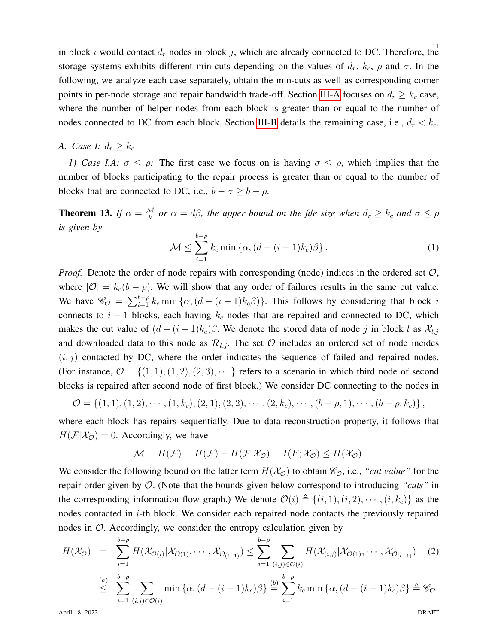in block i would contact  $d_r$  nodes in block j, which are already connected to DC. Therefore, the storage systems exhibits different min-cuts depending on the values of  $d_r$ ,  $k_c$ ,  $\rho$  and  $\sigma$ . In the following, we analyze each case separately, obtain the min-cuts as well as corresponding corner points in per-node storage and repair bandwidth trade-off. Section [III-A](#page-10-0) focuses on  $d_r \geq k_c$  case, where the number of helper nodes from each block is greater than or equal to the number of nodes connected to DC from each block. Section [III-B](#page-14-0) details the remaining case, i.e.,  $d_r < k_c$ .

<span id="page-10-0"></span>*A. Case I:*  $d_r \geq k_c$ 

*1) Case I.A:*  $\sigma \le \rho$ : The first case we focus on is having  $\sigma \le \rho$ , which implies that the number of blocks participating to the repair process is greater than or equal to the number of blocks that are connected to DC, i.e.,  $b - \sigma \geq b - \rho$ .

**Theorem 13.** If  $\alpha = \frac{M}{k}$  or  $\alpha = d\beta$ , the upper bound on the file size when  $d_r \geq k_c$  and  $\sigma \leq \rho$ *is given by*

<span id="page-10-1"></span>
$$
\mathcal{M} \le \sum_{i=1}^{b-\rho} k_c \min \left\{ \alpha, (d - (i-1)k_c) \beta \right\}.
$$
 (1)

*Proof.* Denote the order of node repairs with corresponding (node) indices in the ordered set  $\mathcal{O}$ , where  $|O| = k_c(b - \rho)$ . We will show that any order of failures results in the same cut value. We have  $\mathcal{C}_{\mathcal{O}} = \sum_{i=1}^{b-\rho} k_c \min{\{\alpha, (d-(i-1)k_c)\}}$ . This follows by considering that block i connects to  $i - 1$  blocks, each having  $k_c$  nodes that are repaired and connected to DC, which makes the cut value of  $(d - (i - 1)k_c)\beta$ . We denote the stored data of node j in block l as  $\mathcal{X}_{l,j}$ and downloaded data to this node as  $\mathcal{R}_{l,j}$ . The set  $\mathcal O$  includes an ordered set of node incides  $(i, j)$  contacted by DC, where the order indicates the sequence of failed and repaired nodes. (For instance,  $\mathcal{O} = \{(1, 1), (1, 2), (2, 3), \cdots\}$  refers to a scenario in which third node of second blocks is repaired after second node of first block.) We consider DC connecting to the nodes in

$$
\mathcal{O} = \left\{ (1,1), (1,2), \cdots, (1,k_c), (2,1), (2,2), \cdots, (2,k_c), \cdots, (b-\rho,1), \cdots, (b-\rho,k_c) \right\},\,
$$

where each block has repairs sequentially. Due to data reconstruction property, it follows that  $H(\mathcal{F}|\mathcal{X}_{\mathcal{O}}) = 0$ . Accordingly, we have

$$
\mathcal{M} = H(\mathcal{F}) = H(\mathcal{F}) - H(\mathcal{F}|\mathcal{X}_0) = I(F; \mathcal{X}_0) \leq H(\mathcal{X}_0).
$$

We consider the following bound on the latter term  $H(\mathcal{X}_{\mathcal{O}})$  to obtain  $\mathcal{C}_{\mathcal{O}}$ , i.e., "*cut value*" for the repair order given by O. (Note that the bounds given below correspond to introducing *"cuts"* in the corresponding information flow graph.) We denote  $\mathcal{O}(i) \triangleq \{(i, 1), (i, 2), \cdots, (i, k_c)\}\$ as the nodes contacted in  $i$ -th block. We consider each repaired node contacts the previously repaired nodes in  $\mathcal{O}$ . Accordingly, we consider the entropy calculation given by

$$
H(\mathcal{X}_{\mathcal{O}}) = \sum_{i=1}^{b-\rho} H(\mathcal{X}_{\mathcal{O}(i)}|\mathcal{X}_{\mathcal{O}(1)},\cdots,\mathcal{X}_{\mathcal{O}_{(i-1)}}) \leq \sum_{i=1}^{b-\rho} \sum_{(i,j)\in\mathcal{O}(i)} H(\mathcal{X}_{(i,j)}|\mathcal{X}_{\mathcal{O}(1)},\cdots,\mathcal{X}_{\mathcal{O}_{(i-1)}})
$$
(2)  

$$
\leq \sum_{i=1}^{b-\rho} \sum_{(i,j)\in\mathcal{O}(i)} \min\{\alpha,(d-(i-1)k_c)\beta\} \stackrel{(b)}{=} \sum_{i=1}^{b-\rho} k_c \min\{\alpha,(d-(i-1)k_c)\beta\} \stackrel{\triangle}{=} \mathscr{C}_{\mathcal{O}}
$$

April 18, 2022 DRAFT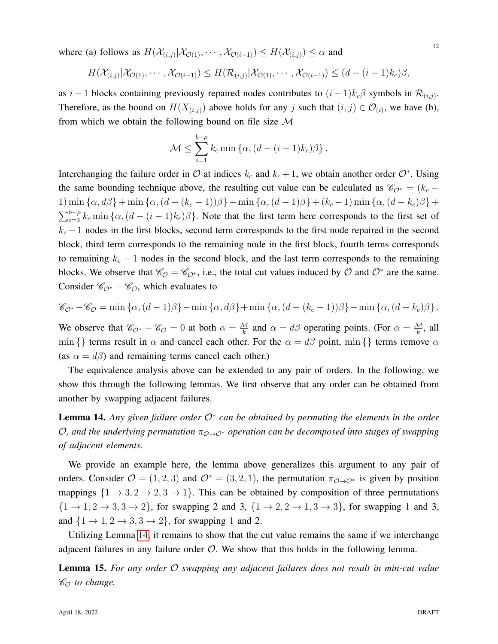where (a) follows as  $H(\mathcal{X}_{(i,j)}|\mathcal{X}_{\mathcal{O}(1)},\cdots,\mathcal{X}_{\mathcal{O}(i-1)}) \leq H(\mathcal{X}_{(i,j)}) \leq \alpha$  and

$$
H(\mathcal{X}_{(i,j)}|\mathcal{X}_{\mathcal{O}(1)},\cdots,\mathcal{X}_{\mathcal{O}(i-1)})\leq H(\mathcal{R}_{(i,j)}|\mathcal{X}_{\mathcal{O}(1)},\cdots,\mathcal{X}_{\mathcal{O}(i-1)})\leq (d-(i-1)k_c)\beta,
$$

as  $i-1$  blocks containing previously repaired nodes contributes to  $(i-1)k_c\beta$  symbols in  $\mathcal{R}_{(i,j)}$ . Therefore, as the bound on  $H(X_{(i,j)})$  above holds for any j such that  $(i, j) \in \mathcal{O}_{(i)}$ , we have (b), from which we obtain the following bound on file size  $M$ 

$$
\mathcal{M} \leq \sum_{i=1}^{b-\rho} k_c \min \left\{ \alpha, (d-(i-1)k_c)\beta \right\}.
$$

Interchanging the failure order in  $O$  at indices  $k_c$  and  $k_c + 1$ , we obtain another order  $O^*$ . Using the same bounding technique above, the resulting cut value can be calculated as  $\mathcal{C}_{\mathcal{O}^*} = (k_c -$ 1) min  $\{\alpha, d\beta\}$  + min  $\{\alpha, (d - (k_c - 1))\beta\}$  + min  $\{\alpha, (d - 1)\beta\}$  +  $(k_c - 1)$  min  $\{\alpha, (d - k_c)\beta\}$  +  $\sum_{i=3}^{b-\rho} k_c \min{\{\alpha, (d-(i-1)k_c)\beta\}}$ . Note that the first term here corresponds to the first set of  $k_c - 1$  nodes in the first blocks, second term corresponds to the first node repaired in the second block, third term corresponds to the remaining node in the first block, fourth terms corresponds to remaining  $k_c - 1$  nodes in the second block, and the last term corresponds to the remaining blocks. We observe that  $\mathcal{C}_\mathcal{O} = \mathcal{C}_{\mathcal{O}^*}$ , i.e., the total cut values induced by  $\mathcal{O}$  and  $\mathcal{O}^*$  are the same. Consider  $\mathcal{C}_{\mathcal{O}^*} - \mathcal{C}_{\mathcal{O}}$ , which evaluates to

$$
\mathscr{C}_{\mathcal{O}^*} - \mathscr{C}_{\mathcal{O}} = \min \left\{ \alpha, (d-1)\beta \right\} - \min \left\{ \alpha, d\beta \right\} + \min \left\{ \alpha, (d - (k_c - 1))\beta \right\} - \min \left\{ \alpha, (d - k_c)\beta \right\}.
$$

We observe that  $\mathcal{C}_{\mathcal{O}^*} - \mathcal{C}_{\mathcal{O}} = 0$  at both  $\alpha = \frac{M}{k}$  and  $\alpha = d\beta$  operating points. (For  $\alpha = \frac{M}{k}$ , all min {} terms result in  $\alpha$  and cancel each other. For the  $\alpha = d\beta$  point, min {} terms remove  $\alpha$ (as  $\alpha = d\beta$ ) and remaining terms cancel each other.)

The equivalence analysis above can be extended to any pair of orders. In the following, we show this through the following lemmas. We first observe that any order can be obtained from another by swapping adjacent failures.

<span id="page-11-0"></span>**Lemma 14.** Any given failure order  $\mathcal{O}^*$  can be obtained by permuting the elements in the order *O*, and the underlying permutation  $π_{\mathcal{O}\rightarrow\mathcal{O}∗}$  operation can be decomposed into stages of swapping *of adjacent elements.*

We provide an example here, the lemma above generalizes this argument to any pair of orders. Consider  $\mathcal{O} = (1, 2, 3)$  and  $\mathcal{O}^* = (3, 2, 1)$ , the permutation  $\pi_{\mathcal{O} \to \mathcal{O}^*}$  is given by position mappings  $\{1 \rightarrow 3, 2 \rightarrow 2, 3 \rightarrow 1\}$ . This can be obtained by composition of three permutations  $\{1 \rightarrow 1, 2 \rightarrow 3, 3 \rightarrow 2\}$ , for swapping 2 and 3,  $\{1 \rightarrow 2, 2 \rightarrow 1, 3 \rightarrow 3\}$ , for swapping 1 and 3, and  $\{1 \rightarrow 1, 2 \rightarrow 3, 3 \rightarrow 2\}$ , for swapping 1 and 2.

Utilizing Lemma [14,](#page-11-0) it remains to show that the cut value remains the same if we interchange adjacent failures in any failure order  $\mathcal{O}$ . We show that this holds in the following lemma.

Lemma 15. *For any order* O *swapping any adjacent failures does not result in min-cut value*  $\mathscr{C}_{\mathcal{O}}$  *to change.*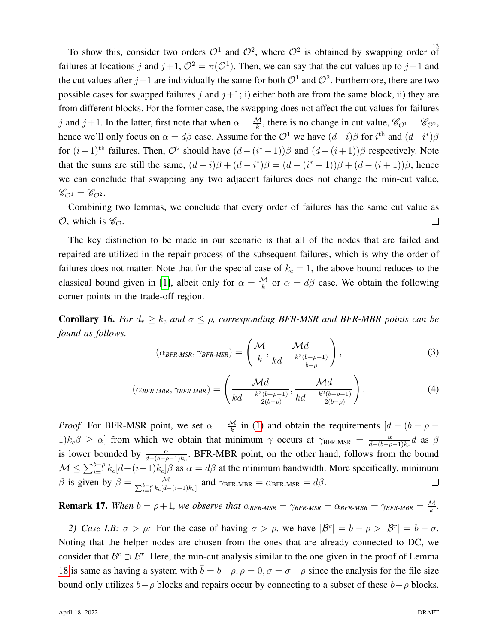To show this, consider two orders  $\mathcal{O}^1$  and  $\mathcal{O}^2$ , where  $\mathcal{O}^2$  is obtained by swapping order of failures at locations j and  $j+1$ ,  $\mathcal{O}^2 = \pi(\mathcal{O}^1)$ . Then, we can say that the cut values up to  $j-1$  and the cut values after  $j+1$  are individually the same for both  $\mathcal{O}^1$  and  $\mathcal{O}^2$ . Furthermore, there are two possible cases for swapped failures  $j$  and  $j+1$ ; i) either both are from the same block, ii) they are from different blocks. For the former case, the swapping does not affect the cut values for failures j and j+1. In the latter, first note that when  $\alpha = \frac{M}{k}$ , there is no change in cut value,  $\mathcal{C}_{\mathcal{O}^1} = \mathcal{C}_{\mathcal{O}^2}$ , hence we'll only focus on  $\alpha = d\beta$  case. Assume for the  $\mathcal{O}^1$  we have  $(d-i)\beta$  for  $i^{\text{th}}$  and  $(d-i^*)\beta$ for  $(i+1)$ <sup>th</sup> failures. Then,  $\mathcal{O}^2$  should have  $(d-(i^*-1))\beta$  and  $(d-(i+1))\beta$  respectively. Note that the sums are still the same,  $(d-i)\beta + (d-i^*)\beta = (d-(i^*-1))\beta + (d-(i+1))\beta$ , hence we can conclude that swapping any two adjacent failures does not change the min-cut value,  $\mathscr{C}_{\mathcal{O}^1} = \mathscr{C}_{\mathcal{O}^2}.$ 

Combining two lemmas, we conclude that every order of failures has the same cut value as  $\mathcal{O}$ , which is  $\mathscr{C}_{\mathcal{O}}$ .  $\Box$ 

The key distinction to be made in our scenario is that all of the nodes that are failed and repaired are utilized in the repair process of the subsequent failures, which is why the order of failures does not matter. Note that for the special case of  $k_c = 1$ , the above bound reduces to the classical bound given in [\[1\]](#page-36-0), albeit only for  $\alpha = \frac{M}{k}$  or  $\alpha = d\beta$  case. We obtain the following corner points in the trade-off region.

**Corollary 16.** *For*  $d_r \geq k_c$  *and*  $\sigma \leq \rho$ , corresponding BFR-MSR and BFR-MBR points can be *found as follows.*

<span id="page-12-1"></span>
$$
(\alpha_{BFR\text{-}MSR}, \gamma_{BFR\text{-}MSR}) = \left(\frac{\mathcal{M}}{k}, \frac{\mathcal{M}d}{kd - \frac{k^2(b - \rho - 1)}{b - \rho}}\right),\tag{3}
$$

<span id="page-12-0"></span>
$$
(\alpha_{BFR\text{-}MBR}, \gamma_{BFR\text{-}MBR}) = \left(\frac{\mathcal{M}d}{kd - \frac{k^2(b-\rho-1)}{2(b-\rho)}}, \frac{\mathcal{M}d}{kd - \frac{k^2(b-\rho-1)}{2(b-\rho)}}\right). \tag{4}
$$

*Proof.* For BFR-MSR point, we set  $\alpha = \frac{M}{k}$  in [\(1\)](#page-10-1) and obtain the requirements  $\left[ d - (b - \rho - \frac{M}{k}) \right]$  $1)k_c\beta \geq \alpha$  from which we obtain that minimum  $\gamma$  occurs at  $\gamma_{\text{BFR-MSR}} = \frac{\alpha}{d-(b-\rho)}$  $\frac{\alpha}{d-(b-\rho-1)k_c}d$  as  $\beta$ is lower bounded by  $\frac{\alpha}{d-(b-\rho-1)k_c}$ . BFR-MBR point, on the other hand, follows from the bound  $\mathcal{M} \leq \sum_{i=1}^{b-\rho} k_c[d-(i-1)k_c]\beta$  as  $\alpha = d\beta$  at the minimum bandwidth. More specifically, minimum β is given by  $β = \frac{M}{\sum_{i=1}^{b-p} k_c[d-(i-1)k_c]}$  and  $γ_{BFR-MBR} = α_{BFR-MSR} = dβ$ .  $\Box$ 

**Remark 17.** When  $b = \rho + 1$ , we observe that  $\alpha_{BFR\text{-}MSR} = \gamma_{BFR\text{-}MSR} = \alpha_{BFR\text{-}MBR} = \gamma_{BFR\text{-}MBR} = \frac{M}{k}$ .

*2) Case I.B:*  $\sigma > \rho$ : For the case of having  $\sigma > \rho$ , we have  $|\mathcal{B}^c| = b - \rho > |\mathcal{B}^r| = b - \sigma$ . Noting that the helper nodes are chosen from the ones that are already connected to DC, we consider that  $B^c \supset B^r$ . Here, the min-cut analysis similar to the one given in the proof of Lemma [18](#page-13-0) is same as having a system with  $\bar{b} = b - \rho$ ,  $\bar{\rho} = 0$ ,  $\bar{\sigma} = \sigma - \rho$  since the analysis for the file size bound only utilizes  $b-\rho$  blocks and repairs occur by connecting to a subset of these  $b-\rho$  blocks.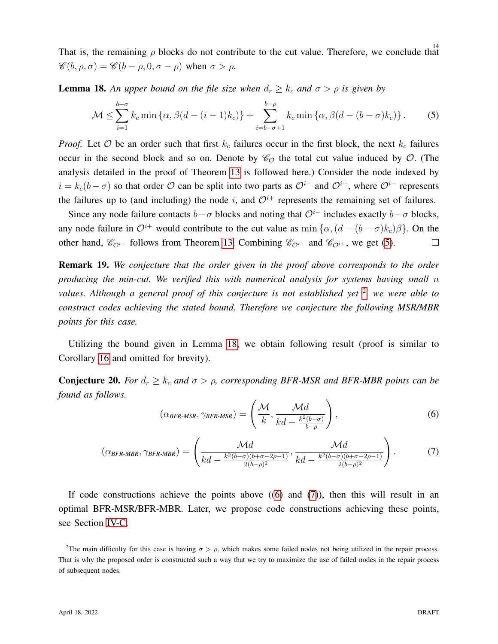That is, the remaining  $\rho$  blocks do not contribute to the cut value. Therefore, we conclude that  $\mathscr{C}(b, \rho, \sigma) = \mathscr{C}(b - \rho, 0, \sigma - \rho)$  when  $\sigma > \rho$ .

**Lemma 18.** An upper bound on the file size when  $d_r \geq k_c$  and  $\sigma > \rho$  is given by

<span id="page-13-0"></span>
$$
\mathcal{M} \le \sum_{i=1}^{b-\sigma} k_c \min \left\{ \alpha, \beta(d-(i-1)k_c) \right\} + \sum_{i=b-\sigma+1}^{b-\rho} k_c \min \left\{ \alpha, \beta(d-(b-\sigma)k_c) \right\}.
$$
 (5)

*Proof.* Let  $O$  be an order such that first  $k_c$  failures occur in the first block, the next  $k_c$  failures occur in the second block and so on. Denote by  $\mathcal{C}_{\mathcal{O}}$  the total cut value induced by  $\mathcal{O}$ . (The analysis detailed in the proof of Theorem [13](#page-10-1) is followed here.) Consider the node indexed by  $i = k_c(b - \sigma)$  so that order O can be split into two parts as  $\mathcal{O}^{i-}$  and  $\mathcal{O}^{i+}$ , where  $\mathcal{O}^{i-}$  represents the failures up to (and including) the node i, and  $\mathcal{O}^{i+}$  represents the remaining set of failures.

Since any node failure contacts  $b-\sigma$  blocks and noting that  $\mathcal{O}^{i-}$  includes exactly  $b-\sigma$  blocks, any node failure in  $\mathcal{O}^{i+}$  would contribute to the cut value as min  $\{\alpha,(d-(b-\sigma)k_c)\beta\}$ . On the other hand,  $\mathcal{C}_{\mathcal{O}^i-}$  follows from Theorem [13.](#page-10-1) Combining  $\mathcal{C}_{\mathcal{O}^{i-}}$  and  $\mathcal{C}_{\mathcal{O}^{i+}}$ , we get [\(5\)](#page-13-0).  $\Box$ 

Remark 19. *We conjecture that the order given in the proof above corresponds to the order producing the min-cut. We verified this with numerical analysis for systems having small* n values. Although a general proof of this conjecture is not established yet <sup>[2](#page-13-1)</sup>, we were able to *construct codes achieving the stated bound. Therefore we conjecture the following MSR/MBR points for this case.*

Utilizing the bound given in Lemma [18,](#page-13-0) we obtain following result (proof is similar to Corollary [16](#page-12-0) and omitted for brevity).

**Conjecture 20.** *For*  $d_r \geq k_c$  *and*  $\sigma > \rho$ , corresponding BFR-MSR and BFR-MBR points can be *found as follows.*

<span id="page-13-2"></span>
$$
(\alpha_{BFR\text{-}MSR}, \gamma_{BFR\text{-}MSR}) = \left(\frac{\mathcal{M}}{k}, \frac{\mathcal{M}d}{kd - \frac{k^2(b-\sigma)}{b-\rho}}\right),\tag{6}
$$

<span id="page-13-3"></span>
$$
(\alpha_{BFR\text{-}MBR}, \gamma_{BFR\text{-}MBR}) = \left(\frac{\mathcal{M}d}{kd - \frac{k^2(b-\sigma)(b+\sigma-2\rho-1)}{2(b-\rho)^2}}, \frac{\mathcal{M}d}{kd - \frac{k^2(b-\sigma)(b+\sigma-2\rho-1)}{2(b-\rho)^2}}\right).
$$
(7)

If code constructions achieve the points above  $((6)$  $((6)$  and  $(7)$ ), then this will result in an optimal BFR-MSR/BFR-MBR. Later, we propose code constructions achieving these points, see Section [IV-C.](#page-21-0)

<span id="page-13-1"></span><sup>&</sup>lt;sup>2</sup>The main difficulty for this case is having  $\sigma > \rho$ , which makes some failed nodes not being utilized in the repair process. That is why the proposed order is constructed such a way that we try to maximize the use of failed nodes in the repair process of subsequent nodes.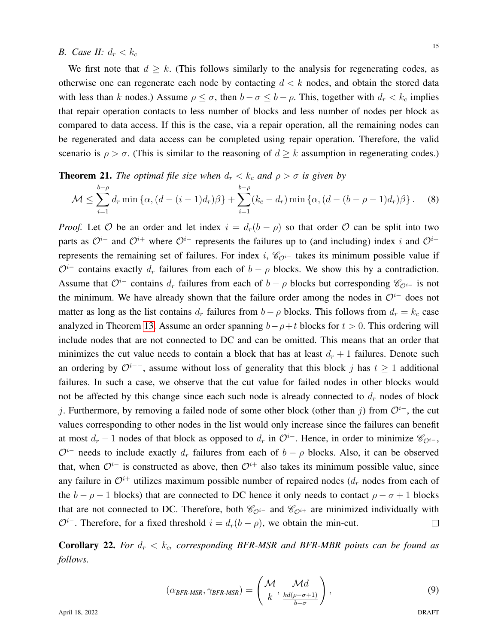## <span id="page-14-0"></span>*B.* Case *II:*  $d_r < k_c$

We first note that  $d \geq k$ . (This follows similarly to the analysis for regenerating codes, as otherwise one can regenerate each node by contacting  $d < k$  nodes, and obtain the stored data with less than k nodes.) Assume  $\rho \leq \sigma$ , then  $b - \sigma \leq b - \rho$ . This, together with  $d_r < k_c$  implies that repair operation contacts to less number of blocks and less number of nodes per block as compared to data access. If this is the case, via a repair operation, all the remaining nodes can be regenerated and data access can be completed using repair operation. Therefore, the valid scenario is  $\rho > \sigma$ . (This is similar to the reasoning of  $d \geq k$  assumption in regenerating codes.)

## **Theorem 21.** *The optimal file size when*  $d_r < k_c$  *and*  $\rho > \sigma$  *is given by*

<span id="page-14-1"></span>
$$
\mathcal{M} \le \sum_{i=1}^{b-\rho} d_r \min \left\{ \alpha, (d - (i-1)d_r) \beta \right\} + \sum_{i=1}^{b-\rho} (k_c - d_r) \min \left\{ \alpha, (d - (b - \rho - 1)d_r) \beta \right\}.
$$
 (8)

*Proof.* Let  $O$  be an order and let index  $i = d_r(b - \rho)$  so that order  $O$  can be split into two parts as  $\mathcal{O}^{i-}$  and  $\mathcal{O}^{i+}$  where  $\mathcal{O}^{i-}$  represents the failures up to (and including) index i and  $\mathcal{O}^{i+}$ represents the remaining set of failures. For index i,  $\mathcal{C}_{\mathcal{O}i-}$  takes its minimum possible value if  $\mathcal{O}^i$  contains exactly  $d_r$  failures from each of  $b - \rho$  blocks. We show this by a contradiction. Assume that  $\mathcal{O}^i$ − contains  $d_r$  failures from each of  $b - \rho$  blocks but corresponding  $\mathcal{C}_{\mathcal{O}i-}$  is not the minimum. We have already shown that the failure order among the nodes in  $\mathcal{O}^{i-}$  does not matter as long as the list contains  $d_r$  failures from  $b - \rho$  blocks. This follows from  $d_r = k_c$  case analyzed in Theorem [13.](#page-10-1) Assume an order spanning  $b-\rho+t$  blocks for  $t > 0$ . This ordering will include nodes that are not connected to DC and can be omitted. This means that an order that minimizes the cut value needs to contain a block that has at least  $d_r + 1$  failures. Denote such an ordering by  $\mathcal{O}^{i-+}$ , assume without loss of generality that this block j has  $t \geq 1$  additional failures. In such a case, we observe that the cut value for failed nodes in other blocks would not be affected by this change since each such node is already connected to  $d_r$  nodes of block j. Furthermore, by removing a failed node of some other block (other than j) from  $\mathcal{O}^i$ −, the cut values corresponding to other nodes in the list would only increase since the failures can benefit at most  $d_r - 1$  nodes of that block as opposed to  $d_r$  in  $\mathcal{O}^{i-}$ . Hence, in order to minimize  $\mathcal{C}_{\mathcal{O}^{i-}}$ ,  $\mathcal{O}^i$  needs to include exactly  $d_r$  failures from each of  $b - \rho$  blocks. Also, it can be observed that, when  $\mathcal{O}^{i-}$  is constructed as above, then  $\mathcal{O}^{i+}$  also takes its minimum possible value, since any failure in  $\mathcal{O}^{i+}$  utilizes maximum possible number of repaired nodes  $(d_r$  nodes from each of the  $b - \rho - 1$  blocks) that are connected to DC hence it only needs to contact  $\rho - \sigma + 1$  blocks that are not connected to DC. Therefore, both  $\mathcal{C}_{\mathcal{O}^{i-}}$  and  $\mathcal{C}_{\mathcal{O}^{i+}}$  are minimized individually with  $\mathcal{O}^{i-}$ . Therefore, for a fixed threshold  $i = d_r(b - \rho)$ , we obtain the min-cut.  $\Box$ 

**Corollary 22.** For  $d_r < k_c$ , corresponding BFR-MSR and BFR-MBR points can be found as *follows.*

<span id="page-14-2"></span>
$$
(\alpha_{BFR\text{-}MSR}, \gamma_{BFR\text{-}MSR}) = \left(\frac{\mathcal{M}}{k}, \frac{\mathcal{M}d}{\frac{kd(\rho - \sigma + 1)}{b - \sigma}}\right),\tag{9}
$$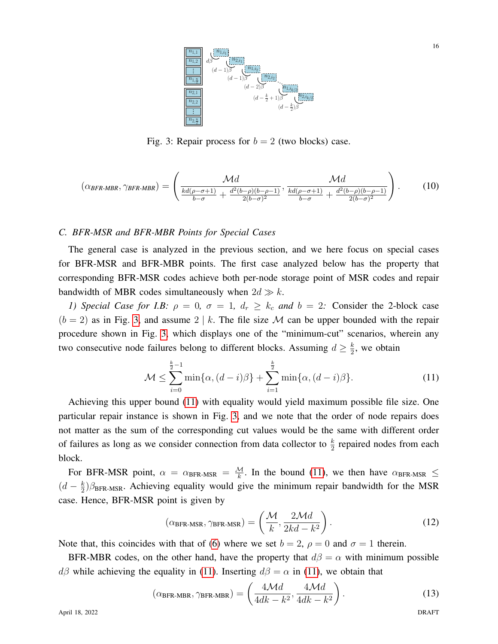<span id="page-15-0"></span>

Fig. 3: Repair process for  $b = 2$  (two blocks) case.

<span id="page-15-2"></span>
$$
(\alpha_{BFR\text{-}MBR}, \gamma_{BFR\text{-}MBR}) = \left(\frac{\mathcal{M}d}{\frac{kd(\rho-\sigma+1)}{b-\sigma} + \frac{d^2(b-\rho)(b-\rho-1)}{2(b-\sigma)^2}}, \frac{\mathcal{M}d}{\frac{kd(\rho-\sigma+1)}{b-\sigma} + \frac{d^2(b-\rho)(b-\rho-1)}{2(b-\sigma)^2}}\right).
$$
(10)

## *C. BFR-MSR and BFR-MBR Points for Special Cases*

The general case is analyzed in the previous section, and we here focus on special cases for BFR-MSR and BFR-MBR points. The first case analyzed below has the property that corresponding BFR-MSR codes achieve both per-node storage point of MSR codes and repair bandwidth of MBR codes simultaneously when  $2d \gg k$ .

*1) Special Case for I.B:*  $\rho = 0$ ,  $\sigma = 1$ ,  $d_r \ge k_c$  *and*  $b = 2$ : Consider the 2-block case  $(b = 2)$  as in Fig. [3,](#page-15-0) and assume  $2 \mid k$ . The file size M can be upper bounded with the repair procedure shown in Fig. [3,](#page-15-0) which displays one of the "minimum-cut" scenarios, wherein any two consecutive node failures belong to different blocks. Assuming  $d \geq \frac{k}{2}$  $\frac{k}{2}$ , we obtain

<span id="page-15-1"></span>
$$
\mathcal{M} \le \sum_{i=0}^{\frac{k}{2}-1} \min\{\alpha, (d-i)\beta\} + \sum_{i=1}^{\frac{k}{2}} \min\{\alpha, (d-i)\beta\}.
$$
 (11)

Achieving this upper bound [\(11\)](#page-15-1) with equality would yield maximum possible file size. One particular repair instance is shown in Fig. [3,](#page-15-0) and we note that the order of node repairs does not matter as the sum of the corresponding cut values would be the same with different order of failures as long as we consider connection from data collector to  $\frac{k}{2}$  repaired nodes from each block.

For BFR-MSR point,  $\alpha = \alpha_{\text{BFR-MSR}} = \frac{M}{k}$ . In the bound [\(11\)](#page-15-1), we then have  $\alpha_{\text{BFR-MSR}} \le$  $\left(d-\frac{k}{2}\right)$  $\frac{k}{2}$ ) $\beta_{\text{BFR-MSR}}$ . Achieving equality would give the minimum repair bandwidth for the MSR case. Hence, BFR-MSR point is given by

$$
(\alpha_{\text{BFR-MSR}}, \gamma_{\text{BFR-MSR}}) = \left(\frac{\mathcal{M}}{k}, \frac{2\mathcal{M}d}{2kd - k^2}\right).
$$
 (12)

Note that, this coincides with that of [\(6\)](#page-13-2) where we set  $b = 2$ ,  $\rho = 0$  and  $\sigma = 1$  therein.

BFR-MBR codes, on the other hand, have the property that  $d\beta = \alpha$  with minimum possible  $d\beta$  while achieving the equality in [\(11\)](#page-15-1). Inserting  $d\beta = \alpha$  in (11), we obtain that

$$
(\alpha_{\text{BFR-MBR}}, \gamma_{\text{BFR-MBR}}) = \left(\frac{4\mathcal{M}d}{4dk - k^2}, \frac{4\mathcal{M}d}{4dk - k^2}\right). \tag{13}
$$

April 18, 2022 DRAFT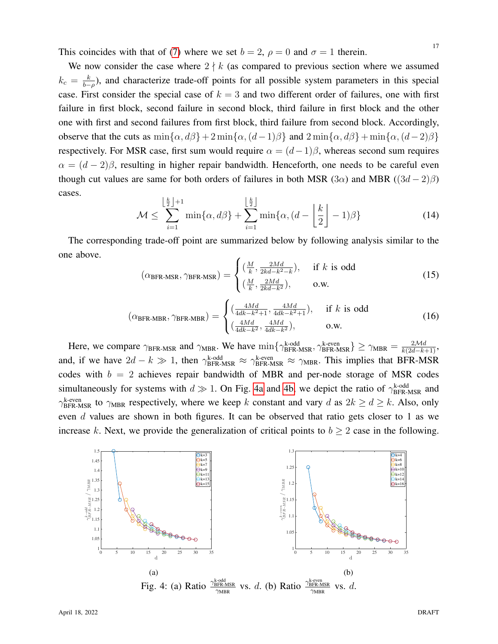This coincides with that of [\(7\)](#page-13-3) where we set  $b = 2$ ,  $\rho = 0$  and  $\sigma = 1$  therein.

We now consider the case where  $2 \nmid k$  (as compared to previous section where we assumed  $k_c = \frac{k}{b-1}$  $\frac{k}{b-\rho}$ ), and characterize trade-off points for all possible system parameters in this special case. First consider the special case of  $k = 3$  and two different order of failures, one with first failure in first block, second failure in second block, third failure in first block and the other one with first and second failures from first block, third failure from second block. Accordingly, observe that the cuts as  $\min{\{\alpha, d\beta\}} + 2 \min{\{\alpha, (d-1)\beta\}}$  and  $2 \min{\{\alpha, d\beta\}} + \min{\{\alpha, (d-2)\beta\}}$ respectively. For MSR case, first sum would require  $\alpha = (d-1)\beta$ , whereas second sum requires  $\alpha = (d-2)\beta$ , resulting in higher repair bandwidth. Henceforth, one needs to be careful even though cut values are same for both orders of failures in both MSR (3 $\alpha$ ) and MBR ((3 $d - 2$ ) $\beta$ ) cases.

$$
\mathcal{M} \le \sum_{i=1}^{\left\lfloor \frac{k}{2} \right\rfloor + 1} \min\{\alpha, d\beta\} + \sum_{i=1}^{\left\lfloor \frac{k}{2} \right\rfloor} \min\{\alpha, (d - \left\lfloor \frac{k}{2} \right\rfloor - 1)\beta\}
$$
(14)

The corresponding trade-off point are summarized below by following analysis similar to the one above.

$$
(\alpha_{\text{BFR-MSR}}, \gamma_{\text{BFR-MSR}}) = \begin{cases} \left(\frac{M}{k}, \frac{2Md}{2kd - k^2 - k}\right), & \text{if } k \text{ is odd} \\ \left(\frac{M}{k}, \frac{2Md}{2kd - k^2}\right), & \text{o.w.} \end{cases}
$$
(15)

$$
(\alpha_{\text{BFR-MBR}}, \gamma_{\text{BFR-MBR}}) = \begin{cases} \left(\frac{4Md}{4dk - k^2 + 1}, \frac{4Md}{4dk - k^2 + 1}\right), & \text{if } k \text{ is odd} \\ \left(\frac{4Md}{4dk - k^2}, \frac{4Md}{4dk - k^2}\right), & \text{o.w.} \end{cases}
$$
(16)

Here, we compare  $\gamma_{\text{BFR-MSR}}$  and  $\gamma_{\text{MBR}}$ . We have  $\min\{\gamma_{\text{BFR-MSR}}^{\text{k-odd}}, \gamma_{\text{BFR-MSR}}^{\text{k-even}}\} \ge \gamma_{\text{MBR}} = \frac{2Md}{k(2d-k+1)}$ , and, if we have  $2d - k \gg 1$ , then  $\gamma_{\text{BFR-MSR}}^{\text{k-odd}} \approx \gamma_{\text{BFR-MSR}}^{\text{k-even}} \approx \gamma_{\text{MBR}}$ . This implies that BFR-MSR codes with  $b = 2$  achieves repair bandwidth of MBR and per-node storage of MSR codes simultaneously for systems with  $d \gg 1$ . On Fig. [4a](#page-16-0) and [4b,](#page-16-0) we depict the ratio of  $\gamma_{\text{BFR-MSR}}^{\text{k-odd}}$  and  $\gamma_{\text{BFR-MSR}}^{\text{k-even}}$  to  $\gamma_{\text{MBR}}$  respectively, where we keep k constant and vary d as  $2k \ge d \ge k$ . Also, only even d values are shown in both figures. It can be observed that ratio gets closer to 1 as we increase k. Next, we provide the generalization of critical points to  $b \ge 2$  case in the following.

<span id="page-16-0"></span>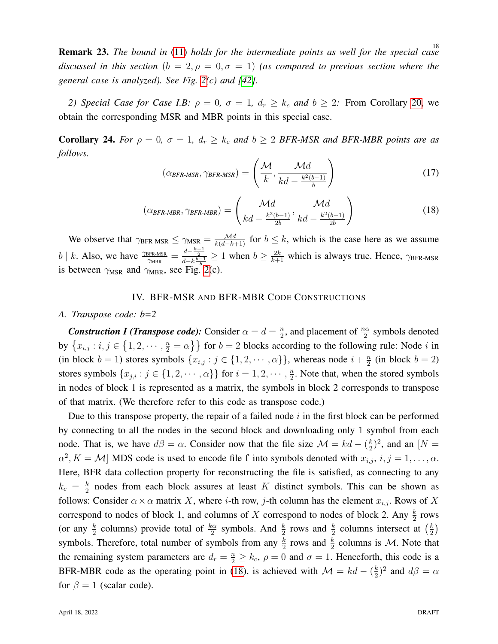18 Remark 23. *The bound in* [\(11\)](#page-15-1) *holds for the intermediate points as well for the special case discussed in this section*  $(b = 2, \rho = 0, \sigma = 1)$  (as compared to previous section where the *general case is analyzed). See Fig. [2\(](#page-3-0)c) and [\[42\]](#page-37-18).*

*2) Special Case for Case I.B:*  $\rho = 0$ ,  $\sigma = 1$ ,  $d_r \geq k_c$  *and*  $b \geq 2$ *:* From Corollary [20,](#page-13-3) we obtain the corresponding MSR and MBR points in this special case.

**Corollary 24.** *For*  $\rho = 0$ ,  $\sigma = 1$ ,  $d_r \geq k_c$  *and*  $b \geq 2$  *BFR-MSR and BFR-MBR points are as follows.*

<span id="page-17-2"></span>
$$
(\alpha_{\text{BFR-MSR}}, \gamma_{\text{BFR-MSR}}) = \left(\frac{\mathcal{M}}{k}, \frac{\mathcal{M}d}{kd - \frac{k^2(b-1)}{b}}\right)
$$
(17)

<span id="page-17-1"></span>
$$
(\alpha_{\text{BFR-MBR}}, \gamma_{\text{BFR-MBR}}) = \left(\frac{\mathcal{M}d}{kd - \frac{k^2(b-1)}{2b}}, \frac{\mathcal{M}d}{kd - \frac{k^2(b-1)}{2b}}\right)
$$
(18)

We observe that  $\gamma_{\text{BFR-MSR}} \le \gamma_{\text{MSR}} = \frac{Md}{k(d-k+1)}$  for  $b \le k$ , which is the case here as we assume  $b \mid k$ . Also, we have  $\frac{\gamma_{\text{BFR-MSR}}}{\gamma_{\text{MBR}}} = \frac{d - \frac{k-1}{2}}{d - k} \geq 1$  when  $b \geq \frac{2k}{k+1}$  which is always true. Hence,  $\gamma_{\text{BFR-MSR}}$ is between  $\gamma_{\text{MSR}}$  and  $\gamma_{\text{MBR}}$ , see Fig. [2\(](#page-3-0)c).

## IV. BFR-MSR AND BFR-MBR CODE CONSTRUCTIONS

## <span id="page-17-0"></span>*A. Transpose code: b=2*

*Construction I (Transpose code):* Consider  $\alpha = d = \frac{n}{2}$  $\frac{n}{2}$ , and placement of  $\frac{n\alpha}{2}$  symbols denoted by  $\{x_{i,j} : i,j \in \{1,2,\dots, \frac{n}{2} = \alpha\}\}\$  for  $b = 2$  blocks according to the following rule: Node i in (in block  $b = 1$ ) stores symbols  $\{x_{i,j} : j \in \{1, 2, \dots, \alpha\}\}\)$ , whereas node  $i + \frac{n}{2}$  $\frac{n}{2}$  (in block  $b = 2$ ) stores symbols  $\{x_{j,i} : j \in \{1, 2, \cdots, \alpha\}\}\$  for  $i = 1, 2, \cdots, \frac{n}{2}$  $\frac{n}{2}$ . Note that, when the stored symbols in nodes of block 1 is represented as a matrix, the symbols in block 2 corresponds to transpose of that matrix. (We therefore refer to this code as transpose code.)

Due to this transpose property, the repair of a failed node  $i$  in the first block can be performed by connecting to all the nodes in the second block and downloading only 1 symbol from each node. That is, we have  $d\beta = \alpha$ . Consider now that the file size  $\mathcal{M} = kd - (\frac{k}{2})$  $(\frac{k}{2})^2$ , and an  $[N =$  $\alpha^2$ ,  $K = M$  MDS code is used to encode file f into symbols denoted with  $x_{i,j}$ ,  $i, j = 1, \dots, \alpha$ . Here, BFR data collection property for reconstructing the file is satisfied, as connecting to any  $k_c = \frac{k}{2}$  $\frac{k}{2}$  nodes from each block assures at least K distinct symbols. This can be shown as follows: Consider  $\alpha \times \alpha$  matrix X, where *i*-th row, *j*-th column has the element  $x_{i,j}$ . Rows of X correspond to nodes of block 1, and columns of X correspond to nodes of block 2. Any  $\frac{k}{2}$  rows (or any  $\frac{k}{2}$  columns) provide total of  $\frac{k\alpha}{2}$  symbols. And  $\frac{k}{2}$  rows and  $\frac{k}{2}$  columns intersect at  $(\frac{k}{2})$  $\frac{k}{2}$ symbols. Therefore, total number of symbols from any  $\frac{k}{2}$  rows and  $\frac{k}{2}$  columns is M. Note that the remaining system parameters are  $d_r = \frac{n}{2} \ge k_c$ ,  $\rho = 0$  and  $\sigma = 1$ . Henceforth, this code is a BFR-MBR code as the operating point in [\(18\)](#page-17-1), is achieved with  $\mathcal{M} = kd - (\frac{k}{2})$  $(\frac{k}{2})^2$  and  $d\beta = \alpha$ for  $\beta = 1$  (scalar code).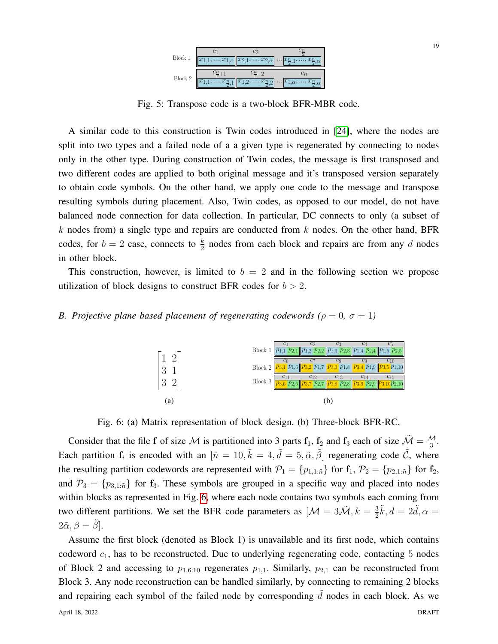

Fig. 5: Transpose code is a two-block BFR-MBR code.

A similar code to this construction is Twin codes introduced in [\[24\]](#page-37-0), where the nodes are split into two types and a failed node of a a given type is regenerated by connecting to nodes only in the other type. During construction of Twin codes, the message is first transposed and two different codes are applied to both original message and it's transposed version separately to obtain code symbols. On the other hand, we apply one code to the message and transpose resulting symbols during placement. Also, Twin codes, as opposed to our model, do not have balanced node connection for data collection. In particular, DC connects to only (a subset of k nodes from) a single type and repairs are conducted from  $k$  nodes. On the other hand, BFR codes, for  $b = 2$  case, connects to  $\frac{k}{2}$  nodes from each block and repairs are from any d nodes in other block.

This construction, however, is limited to  $b = 2$  and in the following section we propose utilization of block designs to construct BFR codes for  $b > 2$ .

## <span id="page-18-0"></span>*B. Projective plane based placement of regenerating codewords (* $\rho = 0$ *,*  $\sigma = 1$ *)*



Fig. 6: (a) Matrix representation of block design. (b) Three-block BFR-RC.

Consider that the file f of size M is partitioned into 3 parts  $f_1$ ,  $f_2$  and  $f_3$  each of size  $\tilde{\mathcal{M}} = \frac{\mathcal{M}}{3}$ . Each partition  $f_i$  is encoded with an  $[\tilde{n} = 10, \tilde{k} = 4, \tilde{d} = 5, \tilde{\alpha}, \tilde{\beta}]$  regenerating code  $\tilde{C}$ , where the resulting partition codewords are represented with  $\mathcal{P}_1 = \{p_{1,1:\tilde{n}}\}$  for  $\mathbf{f}_1$ ,  $\mathcal{P}_2 = \{p_{2,1:\tilde{n}}\}$  for  $\mathbf{f}_2$ , and  $\mathcal{P}_3 = \{p_{3,1:\tilde{n}}\}$  for  $\mathbf{f}_3$ . These symbols are grouped in a specific way and placed into nodes within blocks as represented in Fig. [6,](#page-18-0) where each node contains two symbols each coming from two different partitions. We set the BFR code parameters as  $[\mathcal{M} = 3\tilde{\mathcal{M}}, k = \frac{3}{2}$  $\frac{3}{2}\tilde{k}, d = 2\tilde{d}, \alpha =$  $2\tilde{\alpha}, \beta = \beta$ .

Assume the first block (denoted as Block 1) is unavailable and its first node, which contains codeword  $c_1$ , has to be reconstructed. Due to underlying regenerating code, contacting  $5$  nodes of Block 2 and accessing to  $p_{1,6:10}$  regenerates  $p_{1,1}$ . Similarly,  $p_{2,1}$  can be reconstructed from Block 3. Any node reconstruction can be handled similarly, by connecting to remaining 2 blocks and repairing each symbol of the failed node by corresponding  $d$  nodes in each block. As we April 18, 2022 DRAFT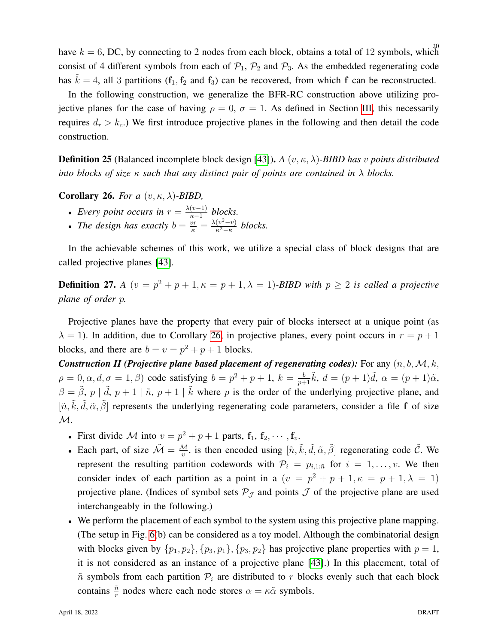have  $k = 6$ , DC, by connecting to 2 nodes from each block, obtains a total of 12 symbols, which consist of 4 different symbols from each of  $P_1$ ,  $P_2$  and  $P_3$ . As the embedded regenerating code has  $k = 4$ , all 3 partitions (f<sub>1</sub>, f<sub>2</sub> and f<sub>3</sub>) can be recovered, from which f can be reconstructed.

In the following construction, we generalize the BFR-RC construction above utilizing projective planes for the case of having  $\rho = 0$ ,  $\sigma = 1$ . As defined in Section [III,](#page-9-0) this necessarily requires  $d_r > k_c$ .) We first introduce projective planes in the following and then detail the code construction.

Definition 25 (Balanced incomplete block design [\[43\]](#page-37-19)). *A* (v, κ, λ)*-BIBD has* v *points distributed into blocks of size*  $\kappa$  *such that any distinct pair of points are contained in*  $\lambda$  *blocks.* 

<span id="page-19-0"></span>Corollary 26. *For a* (v, κ, λ)*-BIBD,*

- *Every point occurs in*  $r = \frac{\lambda(v-1)}{v-1}$  $\frac{(v-1)}{k-1}$  *blocks.*
- *The design has exactly*  $b = \frac{vr}{\kappa} = \frac{\lambda(v^2 v)}{\kappa^2 \kappa}$  $\frac{(v^2-v)}{κ^2-κ}$  blocks.

In the achievable schemes of this work, we utilize a special class of block designs that are called projective planes [\[43\]](#page-37-19).

<span id="page-19-1"></span>**Definition 27.** *A*  $(v = p^2 + p + 1, \kappa = p + 1, \lambda = 1)$ *-BIBD with*  $p \ge 2$  *is called a projective plane of order* p*.*

Projective planes have the property that every pair of blocks intersect at a unique point (as  $\lambda = 1$ ). In addition, due to Corollary [26,](#page-19-0) in projective planes, every point occurs in  $r = p + 1$ blocks, and there are  $b = v = p^2 + p + 1$  blocks.

**Construction II (Projective plane based placement of regenerating codes):** For any  $(n, b, M, k, k)$  $\rho = 0, \alpha, d, \sigma = 1, \beta$  code satisfying  $b = p^2 + p + 1$ ,  $k = \frac{b}{p+1}$  $\frac{b}{p+1}\tilde{k}$ ,  $d = (p+1)\tilde{d}$ ,  $\alpha = (p+1)\tilde{\alpha}$ ,  $\beta = \tilde{\beta}$ ,  $p \mid \tilde{d}$ ,  $p + 1 \mid \tilde{n}$ ,  $p + 1 \mid \tilde{k}$  where p is the order of the underlying projective plane, and  $[\tilde{n}, \tilde{k}, \tilde{d}, \tilde{\alpha}, \tilde{\beta}]$  represents the underlying regenerating code parameters, consider a file f of size  $\mathcal{M}.$ 

- First divide M into  $v = p^2 + p + 1$  parts,  $\mathbf{f}_1, \mathbf{f}_2, \cdots, \mathbf{f}_v$ .
- Each part, of size  $\tilde{M} = \frac{M}{v}$ , is then encoded using  $[\tilde{n}, \tilde{k}, \tilde{d}, \tilde{\alpha}, \tilde{\beta}]$  regenerating code  $\tilde{C}$ . We represent the resulting partition codewords with  $\mathcal{P}_i = p_{i,1:\tilde{n}}$  for  $i = 1, \ldots, v$ . We then consider index of each partition as a point in a  $(v = p^2 + p + 1, \kappa = p + 1, \lambda = 1)$ projective plane. (Indices of symbol sets  $P_J$  and points  $J$  of the projective plane are used interchangeably in the following.)
- We perform the placement of each symbol to the system using this projective plane mapping. (The setup in Fig. [6\(](#page-18-0)b) can be considered as a toy model. Although the combinatorial design with blocks given by  $\{p_1, p_2\}, \{p_3, p_1\}, \{p_3, p_2\}$  has projective plane properties with  $p = 1$ , it is not considered as an instance of a projective plane [\[43\]](#page-37-19).) In this placement, total of  $\tilde{n}$  symbols from each partition  $\mathcal{P}_i$  are distributed to r blocks evenly such that each block contains  $\frac{\tilde{n}}{r}$  nodes where each node stores  $\alpha = \kappa \tilde{\alpha}$  symbols.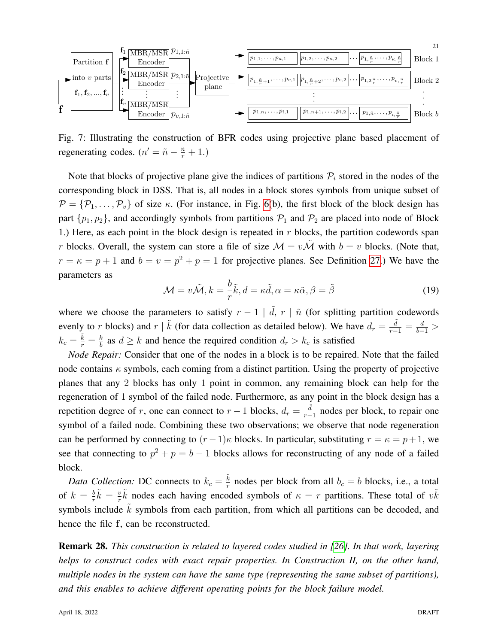

Fig. 7: Illustrating the construction of BFR codes using projective plane based placement of regenerating codes.  $(n' = \tilde{n} - \frac{\tilde{n}}{r} + 1)$ .

Note that blocks of projective plane give the indices of partitions  $P_i$  stored in the nodes of the corresponding block in DSS. That is, all nodes in a block stores symbols from unique subset of  $\mathcal{P} = {\mathcal{P}_1, \ldots, \mathcal{P}_v}$  of size  $\kappa$ . (For instance, in Fig. [6\(](#page-18-0)b), the first block of the block design has part  $\{p_1, p_2\}$ , and accordingly symbols from partitions  $P_1$  and  $P_2$  are placed into node of Block 1.) Here, as each point in the block design is repeated in  $r$  blocks, the partition codewords span r blocks. Overall, the system can store a file of size  $\mathcal{M} = v\tilde{\mathcal{M}}$  with  $b = v$  blocks. (Note that,  $r = \kappa = p + 1$  and  $b = v = p^2 + p = 1$  for projective planes. See Definition [27.](#page-19-1)) We have the parameters as

<span id="page-20-0"></span>
$$
\mathcal{M} = v\tilde{\mathcal{M}}, k = \frac{b}{r}\tilde{k}, d = \kappa \tilde{d}, \alpha = \kappa \tilde{\alpha}, \beta = \tilde{\beta}
$$
\n(19)

where we choose the parameters to satisfy  $r - 1 \mid \tilde{d}$ ,  $r \mid \tilde{n}$  (for splitting partition codewords evenly to r blocks) and r |  $\tilde{k}$  (for data collection as detailed below). We have  $d_r = \frac{\tilde{d}}{r-1} = \frac{d}{b-1} >$  $k_c=\frac{\tilde{k}}{r}=\frac{k}{b}$  $\frac{k}{b}$  as  $d \ge k$  and hence the required condition  $d_r > k_c$  is satisfied

*Node Repair:* Consider that one of the nodes in a block is to be repaired. Note that the failed node contains  $\kappa$  symbols, each coming from a distinct partition. Using the property of projective planes that any 2 blocks has only 1 point in common, any remaining block can help for the regeneration of 1 symbol of the failed node. Furthermore, as any point in the block design has a repetition degree of r, one can connect to  $r - 1$  blocks,  $d_r = \frac{\tilde{d}}{r - 1}$  $\frac{d}{r-1}$  nodes per block, to repair one symbol of a failed node. Combining these two observations; we observe that node regeneration can be performed by connecting to  $(r-1)\kappa$  blocks. In particular, substituting  $r = \kappa = p+1$ , we see that connecting to  $p^2 + p = b - 1$  blocks allows for reconstructing of any node of a failed block.

*Data Collection:* DC connects to  $k_c = \frac{\tilde{k}}{r}$  $\frac{k}{r}$  nodes per block from all  $b_c = b$  blocks, i.e., a total of  $k = \frac{b}{r}$  $\frac{b}{r}\tilde{k} = \frac{v}{r}$  $\frac{v}{r}\tilde{k}$  nodes each having encoded symbols of  $\kappa = r$  partitions. These total of  $v\tilde{k}$ symbols include  $\vec{k}$  symbols from each partition, from which all partitions can be decoded, and hence the file f, can be reconstructed.

Remark 28. *This construction is related to layered codes studied in [\[26\]](#page-37-2). In that work, layering helps to construct codes with exact repair properties. In Construction II, on the other hand, multiple nodes in the system can have the same type (representing the same subset of partitions), and this enables to achieve different operating points for the block failure model.*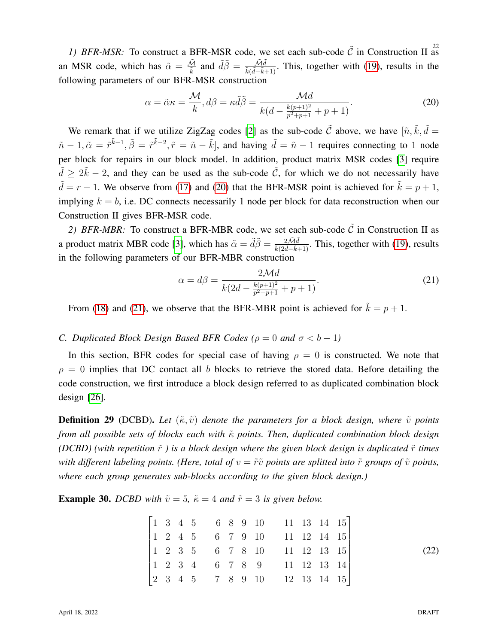1) BFR-MSR: To construct a BFR-MSR code, we set each sub-code  $\tilde{C}$  in Construction II as an MSR code, which has  $\tilde{\alpha} = \frac{\tilde{\mathcal{M}}}{\tilde{k}}$  and  $\tilde{d}\tilde{\beta} = \frac{\tilde{\mathcal{M}}\tilde{d}}{\tilde{k}(\tilde{d}-\tilde{k}+1)}$ . This, together with [\(19\)](#page-20-0), results in the following parameters of our BFR-MSR construction

<span id="page-21-1"></span>
$$
\alpha = \tilde{\alpha}\kappa = \frac{\mathcal{M}}{k}, d\beta = \kappa \tilde{d}\tilde{\beta} = \frac{\mathcal{M}d}{k(d - \frac{k(p+1)^2}{p^2 + p + 1} + p + 1)}.
$$
\n(20)

We remark that if we utilize ZigZag codes [\[2\]](#page-36-1) as the sub-code  $\tilde{C}$  above, we have  $[\tilde{n}, \tilde{k}, \tilde{d}]$  =  $\tilde{n} - 1$ ,  $\tilde{\alpha} = \tilde{r}^{\tilde{k}-1}$ ,  $\tilde{\beta} = \tilde{r}^{\tilde{k}-2}$ ,  $\tilde{r} = \tilde{n} - \tilde{k}$ , and having  $\tilde{d} = \tilde{n} - 1$  requires connecting to 1 node per block for repairs in our block model. In addition, product matrix MSR codes [\[3\]](#page-36-13) require  $\tilde{d} \ge 2\tilde{k} - 2$ , and they can be used as the sub-code  $\tilde{C}$ , for which we do not necessarily have  $\tilde{d} = r - 1$ . We observe from [\(17\)](#page-17-2) and [\(20\)](#page-21-1) that the BFR-MSR point is achieved for  $\tilde{k} = p + 1$ , implying  $k = b$ , i.e. DC connects necessarily 1 node per block for data reconstruction when our Construction II gives BFR-MSR code.

2) BFR-MBR: To construct a BFR-MBR code, we set each sub-code  $\tilde{C}$  in Construction II as a product matrix MBR code [\[3\]](#page-36-13), which has  $\tilde{\alpha} = \tilde{d}\tilde{\beta} = \frac{2\tilde{M}\tilde{d}}{\tilde{k}(2\tilde{d}-\tilde{k}+1)}$ . This, together with [\(19\)](#page-20-0), results in the following parameters of our BFR-MBR construction

<span id="page-21-2"></span>
$$
\alpha = d\beta = \frac{2\mathcal{M}d}{k(2d - \frac{k(p+1)^2}{p^2 + p + 1} + p + 1)}.
$$
\n(21)

From [\(18\)](#page-17-1) and [\(21\)](#page-21-2), we observe that the BFR-MBR point is achieved for  $\tilde{k} = p + 1$ .

## <span id="page-21-0"></span>*C. Duplicated Block Design Based BFR Codes (* $\rho = 0$  *and*  $\sigma < b - 1$ )

In this section, BFR codes for special case of having  $\rho = 0$  is constructed. We note that  $\rho = 0$  implies that DC contact all b blocks to retrieve the stored data. Before detailing the code construction, we first introduce a block design referred to as duplicated combination block design [\[26\]](#page-37-2).

**Definition 29** (DCBD). Let  $(\tilde{\kappa}, \tilde{v})$  denote the parameters for a block design, where  $\tilde{v}$  points *from all possible sets of blocks each with* κ *points. Then, duplicated combination block design (DCBD)* (with repetition  $\tilde{r}$ ) is a block design where the given block design is duplicated  $\tilde{r}$  times *with different labeling points. (Here, total of*  $v = \tilde{r}\tilde{v}$  *points are splitted into*  $\tilde{r}$  *groups of*  $\tilde{v}$  *points, where each group generates sub-blocks according to the given block design.)*

**Example 30.** *DCBD* with  $\tilde{v} = 5$ ,  $\tilde{\kappa} = 4$  *and*  $\tilde{r} = 3$  *is given below.* 

|  |  |  |  | $\begin{bmatrix} 1 & 3 & 4 & 5 & 6 & 8 & 9 & 10 & 11 & 13 & 14 & 15 \\ 1 & 2 & 4 & 5 & 6 & 7 & 9 & 10 & 11 & 12 & 14 & 15 \\ 1 & 2 & 3 & 5 & 6 & 7 & 8 & 10 & 11 & 12 & 13 & 15 \\ 1 & 2 & 3 & 4 & 6 & 7 & 8 & 9 & 11 & 12 & 13 & 14 \\ 2 & 3 & 4 & 5 & 7 & 8 & 9 & 10 & 12 & 13 & 14 & 15 \end{bmatrix}$ |  |  |
|--|--|--|--|-----------------------------------------------------------------------------------------------------------------------------------------------------------------------------------------------------------------------------------------------------------------------------------------------------------|--|--|
|  |  |  |  |                                                                                                                                                                                                                                                                                                           |  |  |
|  |  |  |  |                                                                                                                                                                                                                                                                                                           |  |  |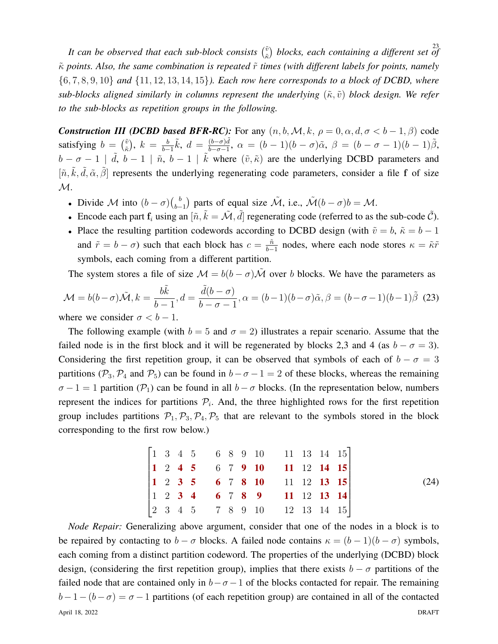It can be observed that each sub-block consists  $\binom{\tilde{v}}{\tilde{x}}$  blocks, each containing a different set of  $(\tilde{k})$  blocks, each containing a different set of  $κ$  points. Also, the same combination is repeated  $κ$  times (with different labels for points, namely {6, 7, 8, 9, 10} *and* {11, 12, 13, 14, 15}*). Each row here corresponds to a block of DCBD, where sub-blocks aligned similarly in columns represent the underlying*  $(\tilde{\kappa}, \tilde{v})$  *block design. We refer to the sub-blocks as repetition groups in the following.*

*Construction III (DCBD based BFR-RC):* For any  $(n, b, M, k, \rho = 0, \alpha, d, \sigma < b - 1, \beta)$  code satisfying  $b = \begin{pmatrix} \tilde{v} \\ \tilde{\varepsilon} \end{pmatrix}$  $(\tilde{k})$ ,  $k = \frac{b}{b-1}$  $\frac{b}{b-1}\tilde{k}$ ,  $d = \frac{(b-\sigma)\tilde{d}}{b-\sigma-1}$  $\frac{(b-\sigma)d}{b-\sigma-1}$ ,  $\alpha = (b-1)(b-\sigma)\tilde{\alpha}$ ,  $\beta = (b-\sigma-1)(b-1)\tilde{\beta}$ ,  $b - \sigma - 1 \mid \tilde{d}, b - 1 \mid \tilde{n}, b - 1 \mid \tilde{k}$  where  $(\tilde{v}, \tilde{\kappa})$  are the underlying DCBD parameters and  $[\tilde{n}, \tilde{k}, \tilde{d}, \tilde{\alpha}, \tilde{\beta}]$  represents the underlying regenerating code parameters, consider a file f of size  $\mathcal{M}.$ 

- Divide M into  $(b \sigma) \binom{b}{b \sigma}$  $\bigcup_{b=1}^{b}$  parts of equal size  $\tilde{\mathcal{M}}$ , i.e.,  $\tilde{\mathcal{M}}(b-\sigma)b = \mathcal{M}$ .
- Encode each part  $f_i$  using an  $[\tilde{n}, \tilde{k} = \tilde{\mathcal{M}}, \tilde{d}]$  regenerating code (referred to as the sub-code  $\tilde{C}$ ).
- Place the resulting partition codewords according to DCBD design (with  $\tilde{v} = b$ ,  $\tilde{\kappa} = b 1$ and  $\tilde{r} = b - \sigma$ ) such that each block has  $c = \frac{\tilde{n}}{b - \sigma}$  $\frac{\hat{n}}{b-1}$  nodes, where each node stores  $\kappa = \tilde{\kappa}\tilde{r}$ symbols, each coming from a different partition.

The system stores a file of size  $\mathcal{M} = b(b - \sigma)\tilde{\mathcal{M}}$  over b blocks. We have the parameters as

<span id="page-22-0"></span>
$$
\mathcal{M} = b(b - \sigma)\tilde{\mathcal{M}}, k = \frac{b\tilde{k}}{b - 1}, d = \frac{\tilde{d}(b - \sigma)}{b - \sigma - 1}, \alpha = (b - 1)(b - \sigma)\tilde{\alpha}, \beta = (b - \sigma - 1)(b - 1)\tilde{\beta}
$$
(23)  
where we consider  $\sigma < b - 1$ .

The following example (with  $b = 5$  and  $\sigma = 2$ ) illustrates a repair scenario. Assume that the failed node is in the first block and it will be regenerated by blocks 2,3 and 4 (as  $b - \sigma = 3$ ). Considering the first repetition group, it can be observed that symbols of each of  $b - \sigma = 3$ partitions ( $\mathcal{P}_3$ ,  $\mathcal{P}_4$  and  $\mathcal{P}_5$ ) can be found in  $b-\sigma-1=2$  of these blocks, whereas the remaining  $\sigma - 1 = 1$  partition ( $\mathcal{P}_1$ ) can be found in all  $b - \sigma$  blocks. (In the representation below, numbers represent the indices for partitions  $P_i$ . And, the three highlighted rows for the first repetition group includes partitions  $\mathcal{P}_1, \mathcal{P}_3, \mathcal{P}_4, \mathcal{P}_5$  that are relevant to the symbols stored in the block corresponding to the first row below.)

$$
\begin{bmatrix}\n1 & 3 & 4 & 5 & 6 & 8 & 9 & 10 & 11 & 13 & 14 & 15 \\
1 & 2 & 4 & 5 & 6 & 7 & 9 & 10 & 11 & 12 & 14 & 15 \\
1 & 2 & 3 & 5 & 6 & 7 & 8 & 10 & 11 & 12 & 13 & 15 \\
1 & 2 & 3 & 4 & 6 & 7 & 8 & 9 & 11 & 12 & 13 & 14 \\
2 & 3 & 4 & 5 & 7 & 8 & 9 & 10 & 12 & 13 & 14 & 15\n\end{bmatrix}
$$
\n(24)

*Node Repair:* Generalizing above argument, consider that one of the nodes in a block is to be repaired by contacting to  $b - \sigma$  blocks. A failed node contains  $\kappa = (b - 1)(b - \sigma)$  symbols, each coming from a distinct partition codeword. The properties of the underlying (DCBD) block design, (considering the first repetition group), implies that there exists  $b - \sigma$  partitions of the failed node that are contained only in  $b-\sigma-1$  of the blocks contacted for repair. The remaining  $b-1-(b-\sigma) = \sigma-1$  partitions (of each repetition group) are contained in all of the contacted April 18, 2022 DRAFT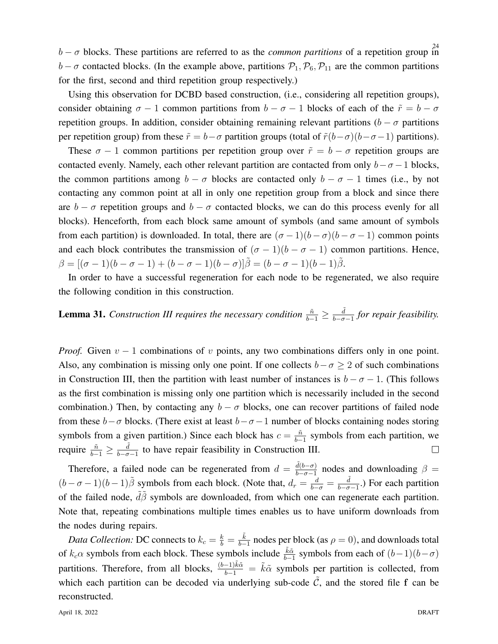$b - \sigma$  blocks. These partitions are referred to as the *common partitions* of a repetition group in  $b - \sigma$  contacted blocks. (In the example above, partitions  $P_1, P_6, P_{11}$  are the common partitions for the first, second and third repetition group respectively.)

Using this observation for DCBD based construction, (i.e., considering all repetition groups), consider obtaining  $\sigma - 1$  common partitions from  $b - \sigma - 1$  blocks of each of the  $\tilde{r} = b - \sigma$ repetition groups. In addition, consider obtaining remaining relevant partitions ( $b - \sigma$  partitions per repetition group) from these  $\tilde{r} = b - \sigma$  partition groups (total of  $\tilde{r}(b-\sigma)(b-\sigma-1)$  partitions).

These  $\sigma - 1$  common partitions per repetition group over  $\tilde{r} = b - \sigma$  repetition groups are contacted evenly. Namely, each other relevant partition are contacted from only  $b - \sigma - 1$  blocks, the common partitions among  $b - \sigma$  blocks are contacted only  $b - \sigma - 1$  times (i.e., by not contacting any common point at all in only one repetition group from a block and since there are  $b - \sigma$  repetition groups and  $b - \sigma$  contacted blocks, we can do this process evenly for all blocks). Henceforth, from each block same amount of symbols (and same amount of symbols from each partition) is downloaded. In total, there are  $(\sigma - 1)(b - \sigma)(b - \sigma - 1)$  common points and each block contributes the transmission of  $(\sigma - 1)(b - \sigma - 1)$  common partitions. Hence,  $\beta = [(\sigma - 1)(b - \sigma - 1) + (b - \sigma - 1)(b - \sigma)]\tilde{\beta} = (b - \sigma - 1)(b - 1)\tilde{\beta}.$ 

In order to have a successful regeneration for each node to be regenerated, we also require the following condition in this construction.

#### **Lemma 31.** Construction III requires the necessary condition  $\frac{\tilde{n}}{b-1} \geq \frac{\tilde{d}}{b-\sigma}$ b−σ−1 *for repair feasibility.*

*Proof.* Given  $v - 1$  combinations of v points, any two combinations differs only in one point. Also, any combination is missing only one point. If one collects  $b - \sigma \ge 2$  of such combinations in Construction III, then the partition with least number of instances is  $b - \sigma - 1$ . (This follows as the first combination is missing only one partition which is necessarily included in the second combination.) Then, by contacting any  $b - \sigma$  blocks, one can recover partitions of failed node from these  $b-\sigma$  blocks. (There exist at least  $b-\sigma-1$  number of blocks containing nodes storing symbols from a given partition.) Since each block has  $c = \frac{\tilde{n}}{h}$  $\frac{n}{b-1}$  symbols from each partition, we require  $\frac{\tilde{n}}{b-1} \geq \frac{\tilde{d}}{b-\sigma}$  $\frac{d}{b-\sigma-1}$  to have repair feasibility in Construction III.  $\Box$ 

Therefore, a failed node can be regenerated from  $d = \frac{\tilde{d}(b-\sigma)}{b-\sigma-1}$  $\frac{d(b-\sigma)}{b-\sigma-1}$  nodes and downloading  $\beta =$  $(b - \sigma - 1)(b - 1)\tilde{\beta}$  symbols from each block. (Note that,  $d_r = \frac{d}{b - \sigma} = \frac{\tilde{d}}{b - \sigma}$  $\frac{d}{b-\sigma-1}$ .) For each partition of the failed node,  $\tilde{d}\tilde{\beta}$  symbols are downloaded, from which one can regenerate each partition. Note that, repeating combinations multiple times enables us to have uniform downloads from the nodes during repairs.

*Data Collection:* DC connects to  $k_c = \frac{k}{b} = \frac{\tilde{k}}{b-1}$  $\frac{k}{b-1}$  nodes per block (as  $\rho = 0$ ), and downloads total of  $k_c \alpha$  symbols from each block. These symbols include  $\frac{\tilde{k}\tilde{\alpha}}{b-1}$  symbols from each of  $(b-1)(b-\sigma)$ partitions. Therefore, from all blocks,  $\frac{(b-1)\tilde{k}\tilde{\alpha}}{b-1} = \tilde{k}\tilde{\alpha}$  symbols per partition is collected, from which each partition can be decoded via underlying sub-code  $\tilde{C}$ , and the stored file f can be reconstructed.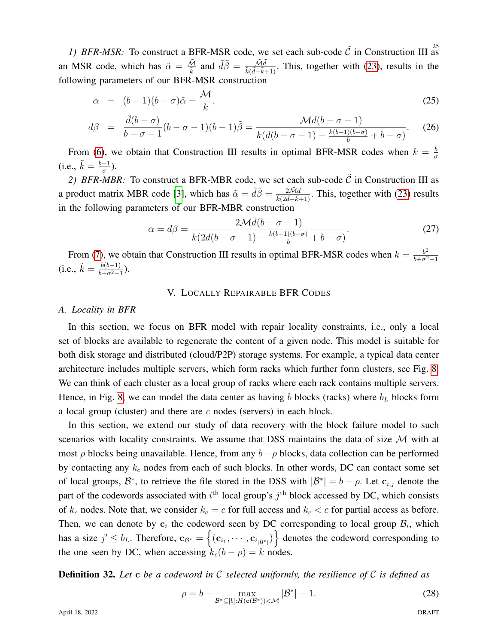1) BFR-MSR: To construct a BFR-MSR code, we set each sub-code  $\tilde{C}$  in Construction III as an MSR code, which has  $\tilde{\alpha} = \frac{\tilde{\mathcal{M}}}{\tilde{k}}$  and  $\tilde{d}\tilde{\beta} = \frac{\tilde{\mathcal{M}}\tilde{d}}{\tilde{k}(\tilde{d}-\tilde{k}+1)}$ . This, together with [\(23\)](#page-22-0), results in the following parameters of our BFR-MSR construction

$$
\alpha = (b-1)(b-\sigma)\tilde{\alpha} = \frac{\mathcal{M}}{k},\tag{25}
$$

$$
d\beta = \frac{\tilde{d}(b-\sigma)}{b-\sigma-1}(b-\sigma-1)(b-1)\tilde{\beta} = \frac{\mathcal{M}d(b-\sigma-1)}{k(d(b-\sigma-1)-\frac{k(b-1)(b-\sigma)}{b}+b-\sigma)}.\tag{26}
$$

From [\(6\)](#page-13-2), we obtain that Construction III results in optimal BFR-MSR codes when  $k = \frac{b}{a}$ σ (i.e.,  $\tilde{k} = \frac{b-1}{\sigma}$  $\frac{-1}{\sigma}$ ).

2) BFR-MBR: To construct a BFR-MBR code, we set each sub-code  $\tilde{C}$  in Construction III as a product matrix MBR code [\[3\]](#page-36-13), which has  $\tilde{\alpha} = \tilde{d}\tilde{\beta} = \frac{2\tilde{M}\tilde{d}}{\tilde{k}(2\tilde{d}-\tilde{k}+1)}$ . This, together with [\(23\)](#page-22-0) results in the following parameters of our BFR-MBR construction

$$
\alpha = d\beta = \frac{2\mathcal{M}d(b - \sigma - 1)}{k(2d(b - \sigma - 1) - \frac{k(b - 1)(b - \sigma)}{b} + b - \sigma)}.
$$
\n(27)

From [\(7\)](#page-13-3), we obtain that Construction III results in optimal BFR-MSR codes when  $k = \frac{b^2}{b+c^2}$  $\overline{b+\sigma^2-1}$ (i.e.,  $\tilde{k} = \frac{b(b-1)}{b+\sigma^2}$  $\frac{b(b-1)}{b+\sigma^2-1}).$ 

## V. LOCALLY REPAIRABLE BFR CODES

## <span id="page-24-0"></span>*A. Locality in BFR*

In this section, we focus on BFR model with repair locality constraints, i.e., only a local set of blocks are available to regenerate the content of a given node. This model is suitable for both disk storage and distributed (cloud/P2P) storage systems. For example, a typical data center architecture includes multiple servers, which form racks which further form clusters, see Fig. [8.](#page-25-0) We can think of each cluster as a local group of racks where each rack contains multiple servers. Hence, in Fig. [8,](#page-25-0) we can model the data center as having b blocks (racks) where  $b<sub>L</sub>$  blocks form a local group (cluster) and there are  $c$  nodes (servers) in each block.

In this section, we extend our study of data recovery with the block failure model to such scenarios with locality constraints. We assume that DSS maintains the data of size  $\mathcal M$  with at most  $\rho$  blocks being unavailable. Hence, from any  $b-\rho$  blocks, data collection can be performed by contacting any  $k_c$  nodes from each of such blocks. In other words, DC can contact some set of local groups,  $\mathcal{B}^*$ , to retrieve the file stored in the DSS with  $|\mathcal{B}^*| = b - \rho$ . Let  $\mathbf{c}_{i,j}$  denote the part of the codewords associated with  $i^{\text{th}}$  local group's  $j^{\text{th}}$  block accessed by DC, which consists of  $k_c$  nodes. Note that, we consider  $k_c = c$  for full access and  $k_c < c$  for partial access as before. Then, we can denote by  $c_i$  the codeword seen by DC corresponding to local group  $\mathcal{B}_i$ , which has a size  $j' \le b_L$ . Therefore,  $\mathbf{c}_{\mathcal{B}^*} = \left\{ (\mathbf{c}_{i_1}, \cdots, \mathbf{c}_{i_{|\mathcal{B}^*|}}) \right\}$  denotes the codeword corresponding to the one seen by DC, when accessing  $k_c(b - \rho) = k$  nodes.

Definition 32. *Let* c *be a codeword in* C *selected uniformly, the resilience of* C *is defined as*

<span id="page-24-1"></span>
$$
\rho = b - \max_{\mathcal{B}^* \subseteq [b]: H(\mathbf{c}(\mathcal{B}^*)) < \mathcal{M}} |\mathcal{B}^*| - 1.
$$
 (28)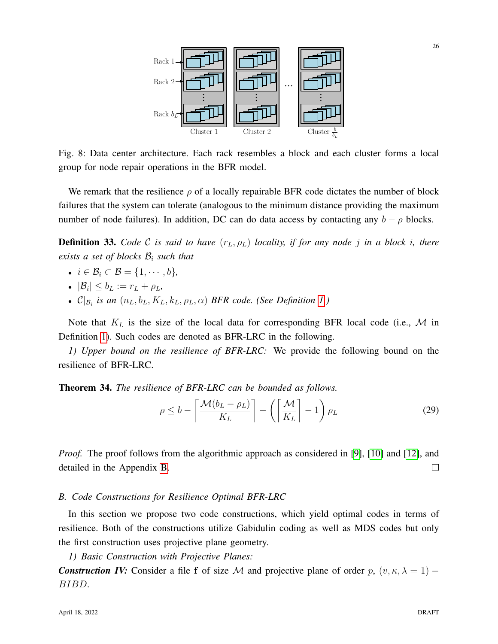<span id="page-25-0"></span>

Fig. 8: Data center architecture. Each rack resembles a block and each cluster forms a local group for node repair operations in the BFR model.

We remark that the resilience  $\rho$  of a locally repairable BFR code dictates the number of block failures that the system can tolerate (analogous to the minimum distance providing the maximum number of node failures). In addition, DC can do data access by contacting any  $b - \rho$  blocks.

**Definition 33.** *Code* C *is said to have*  $(r_L, \rho_L)$  *locality, if for any node j in a block i, there exists a set of blocks* B<sup>i</sup> *such that*

- $i \in \mathcal{B}_i \subset \mathcal{B} = \{1, \cdots, b\},\$
- $|\mathcal{B}_i| \leq b_L := r_L + \rho_L$
- $\mathcal{C}|_{\mathcal{B}_i}$  is an  $(n_L, b_L, K_L, k_L, \rho_L, \alpha)$  *BFR code.* (See Definition [1.](#page-6-1))

Note that  $K_L$  is the size of the local data for corresponding BFR local code (i.e.,  $M$  in Definition [1\)](#page-6-1). Such codes are denoted as BFR-LRC in the following.

*1) Upper bound on the resilience of BFR-LRC:* We provide the following bound on the resilience of BFR-LRC.

Theorem 34. *The resilience of BFR-LRC can be bounded as follows.*

<span id="page-25-1"></span>
$$
\rho \le b - \left\lceil \frac{\mathcal{M}(b_L - \rho_L)}{K_L} \right\rceil - \left( \left\lceil \frac{\mathcal{M}}{K_L} \right\rceil - 1 \right) \rho_L \tag{29}
$$

*Proof.* The proof follows from the algorithmic approach as considered in [\[9\]](#page-36-3), [\[10\]](#page-36-18) and [\[12\]](#page-36-10), and detailed in the Appendix [B.](#page-38-0)  $\Box$ 

## *B. Code Constructions for Resilience Optimal BFR-LRC*

In this section we propose two code constructions, which yield optimal codes in terms of resilience. Both of the constructions utilize Gabidulin coding as well as MDS codes but only the first construction uses projective plane geometry.

*1) Basic Construction with Projective Planes:*

*Construction IV:* Consider a file f of size M and projective plane of order p,  $(v, \kappa, \lambda = 1)$  – BIBD.

26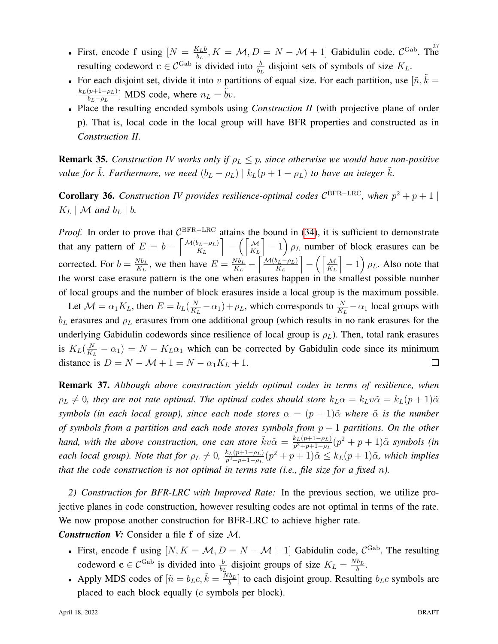- First, encode f using  $[N = \frac{K_L b}{h}, K = M, D = N M + 1]$  Gabidulin code,  $C^{Gab}$ . The  $\frac{\mathcal{L}_{L}b}{b_L}$ ,  $K = \mathcal{M}, D = N - \mathcal{M} + 1$  Gabidulin code,  $C^{\text{Gab}}$ . The resulting codeword  $c \in C^{\text{Gab}}$  is divided into  $\frac{b}{b_L}$  disjoint sets of symbols of size  $K_L$ .
- For each disjoint set, divide it into v partitions of equal size. For each partition, use  $[\tilde{n}, \tilde{k}]$  =  $k_L(p+1-\rho_L)$  $\left[\frac{(p+1-\rho_L)}{b_L-\rho_L}\right]$  MDS code, where  $n_L = \tilde{b}\nu$ .
- Place the resulting encoded symbols using *Construction II* (with projective plane of order p). That is, local code in the local group will have BFR properties and constructed as in *Construction II*.

**Remark 35.** *Construction IV works only if*  $\rho_L \leq p$ , since otherwise we would have non-positive *value for*  $\tilde{k}$ *. Furthermore, we need*  $(b_L - \rho_L) | k_L(p + 1 - \rho_L)$  *to have an integer*  $\tilde{k}$ *.* 

<span id="page-26-0"></span>**Corollary 36.** Construction IV provides resilience-optimal codes  $\mathcal{C}^{\text{BFR-LRC}}$ , when  $p^2 + p + 1$  $K_L \mid \mathcal{M}$  and  $b_L \mid b$ .

*Proof.* In order to prove that  $\mathcal{C}$ *Proof.* In order to prove that  $\mathcal{C}^{\text{BFR}-\text{LRC}}$  attains the bound in [\(34\)](#page-25-1), it is sufficient to demonstrate that any pattern of  $E = b - \left[ \frac{\mathcal{M}(b_L - \rho_L)}{K_L} \right]$  $K_L$  $\overline{\phantom{a}}$ −  $\sqrt{a}$  $K_L$  $\left[-1\right]\rho_L$  number of block erasures can be corrected. For  $b = \frac{Nb_L}{K_L}$  $\frac{Nb_L}{K_L}$ , we then have  $E = \frac{Nb_L}{K_L}$  $\frac{E}{K_L}$  –  $\lceil \frac{\mathcal{M}(b_L - \rho_L)}{2} \rceil$  $K_L$  $\overline{\phantom{a}}$ −  $\int$   $\frac{M}{\sqrt{M}}$  $K_L$  $\left[-1\right]\rho_L$ . Also note that the worst case erasure pattern is the one when erasures happen in the smallest possible number of local groups and the number of block erasures inside a local group is the maximum possible.

Let  $\mathcal{M} = \alpha_1 K_L$ , then  $E = b_L(\frac{N}{K_I})$  $\frac{N}{K_L} - \alpha_1$ ) +  $\rho_L$ , which corresponds to  $\frac{N}{K_L} - \alpha_1$  local groups with  $b<sub>L</sub>$  erasures and  $\rho<sub>L</sub>$  erasures from one additional group (which results in no rank erasures for the underlying Gabidulin codewords since resilience of local group is  $\rho_L$ ). Then, total rank erasures is  $K_L(\frac{N}{K})$  $\frac{N}{K_L} - \alpha_1$ ) =  $N - K_L \alpha_1$  which can be corrected by Gabidulin code since its minimum distance is  $D = N - \mathcal{M} + 1 = N - \alpha_1 K_L + 1$ .  $\Box$ 

Remark 37. *Although above construction yields optimal codes in terms of resilience, when*  $\rho_L \neq 0$ , they are not rate optimal. The optimal codes should store  $k_L \alpha = k_L v \tilde{\alpha} = k_L (p + 1) \tilde{\alpha}$ *symbols (in each local group), since each node stores*  $\alpha = (p + 1)\tilde{\alpha}$  *where*  $\tilde{\alpha}$  *is the number of symbols from a partition and each node stores symbols from* p + 1 *partitions. On the other hand, with the above construction, one can store*  $\tilde{k}v\tilde{\alpha} = \frac{k_L(p+1-\rho_L)}{n^2+n+1-\rho_L}$  $\frac{k_L(p+1-\rho_L)}{p^2+p+1-\rho_L}(p^2+p+1)\tilde{\alpha}$  symbols (in *each local group). Note that for*  $\rho_L \neq 0$ ,  $\frac{k_L(p+1-\rho_L)}{p^2+p+1-\rho_L}$  $\frac{k_L(p+1-\rho_L)}{p^2+p+1-\rho_L}(p^2+p+1)\tilde{\alpha} \leq k_L(p+1)\tilde{\alpha}$ *, which implies that the code construction is not optimal in terms rate (i.e., file size for a fixed* n*).*

*2) Construction for BFR-LRC with Improved Rate:* In the previous section, we utilize projective planes in code construction, however resulting codes are not optimal in terms of the rate. We now propose another construction for BFR-LRC to achieve higher rate.

*Construction V:* Consider a file f of size M.

- First, encode f using  $[N, K = M, D = N M + 1]$  Gabidulin code,  $C^{Gab}$ . The resulting codeword  $c \in C^{\text{Gab}}$  is divided into  $\frac{b}{b_L}$  disjoint groups of size  $K_L = \frac{Nb_L}{b}$  $\frac{b_L}{b}$ .
- Apply MDS codes of  $[\tilde{n} = b_L c, \tilde{k} = \frac{\tilde{N} b_L}{b}]$  $\frac{b_L}{b}$  to each disjoint group. Resulting  $b_L c$  symbols are placed to each block equally (c symbols per block).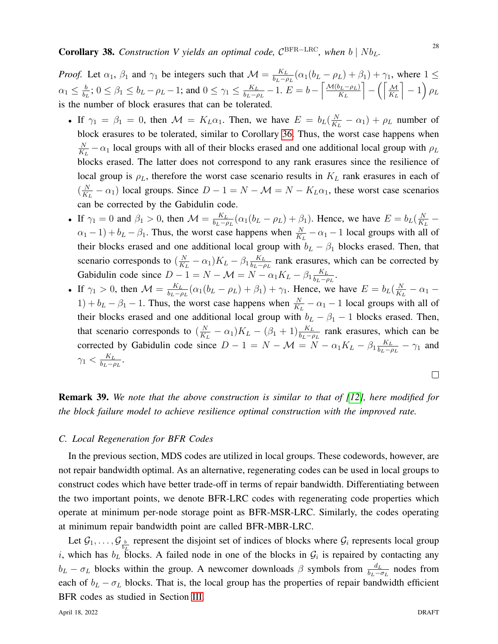*Proof.* Let  $\alpha_1$ ,  $\beta_1$  and  $\gamma_1$  be integers such that  $\mathcal{M} = \frac{K_L}{b_L - \beta_1}$  $\frac{K_L}{b_L-\rho_L}(\alpha_1(b_L-\rho_L)+\beta_1)+\gamma_1$ , where  $1 \leq$  $\alpha_1 \leq \frac{b}{b}$  $\frac{b}{b_L}$ ;  $0 \le \beta_1 \le b_L - \rho_L - 1$ ; and  $0 \le \gamma_1 \le \frac{K_L}{b_L - \rho_L}$  $\frac{K_L}{b_L-\rho_L}-1.$   $E=b-\left[\frac{\mathcal{M}(b_L-\rho_L)}{K_L}\right]$  $K_L$ m −  $\sqrt{M}$  $K_L$  $\Big]-1\Big)\, \rho_L$ is the number of block erasures that can be tolerated.

- If  $\gamma_1 = \beta_1 = 0$ , then  $\mathcal{M} = K_L \alpha_1$ . Then, we have  $E = b_L(\frac{N}{K_L})$  $\frac{N}{K_L} - \alpha_1$  +  $\rho_L$  number of block erasures to be tolerated, similar to Corollary [36.](#page-26-0) Thus, the worst case happens when N  $\frac{N}{K_L} - \alpha_1$  local groups with all of their blocks erased and one additional local group with  $\rho_L$ blocks erased. The latter does not correspond to any rank erasures since the resilience of local group is  $\rho_L$ , therefore the worst case scenario results in  $K_L$  rank erasures in each of  $\left(\frac{N}{K}\right)$  $\frac{N}{K_L} - \alpha_1$ ) local groups. Since  $D - 1 = N - \mathcal{M} = N - K_L \alpha_1$ , these worst case scenarios can be corrected by the Gabidulin code.
- If  $\gamma_1 = 0$  and  $\beta_1 > 0$ , then  $\mathcal{M} = \frac{K_L}{b_L \beta}$  $\frac{K_L}{b_L-\rho_L}(\alpha_1(b_L-\rho_L)+\beta_1)$ . Hence, we have  $E=b_L(\frac{N}{K_L})$  $\frac{1}{K_L}$  –  $(\alpha_1 - 1) + b_L - \beta_1$ . Thus, the worst case happens when  $\frac{N}{K_L} - \alpha_1 - 1$  local groups with all of their blocks erased and one additional local group with  $b_L - \beta_1$  blocks erased. Then, that scenario corresponds to  $\left(\frac{N}{K}\right)$  $\frac{N}{K_L} - \alpha_1$ ) $K_L - \beta_1 \frac{K_L}{b_L - \beta_1}$  $\frac{R_L}{b_L - \rho_L}$  rank erasures, which can be corrected by Gabidulin code since  $D - 1 = N - \mathcal{M} = N - \alpha_1 K_L - \beta_1 \frac{K_L}{b_L - \beta_1}$  $\frac{K_L}{b_L-\rho_L}$ .
- If  $\gamma_1 > 0$ , then  $\mathcal{M} = \frac{K_L}{b_L \mu}$  $\frac{K_L}{b_L-\rho_L}(\alpha_1(b_L-\rho_L)+\beta_1)+\gamma_1$ . Hence, we have  $E=b_L(\frac{N}{K_L})$  $\frac{N}{K_L} - \alpha_1 1) + b_L - \beta_1 - 1$ . Thus, the worst case happens when  $\frac{N}{K_L} - \alpha_1 - 1$  local groups with all of their blocks erased and one additional local group with  $b_L - \beta_1 - 1$  blocks erased. Then, that scenario corresponds to  $\left(\frac{N}{K}\right)$  $\frac{N}{K_L} - \alpha_1$ ) $K_L - (\beta_1 + 1) \frac{K_L}{b_L - \rho_L}$  rank erasures, which can be corrected by Gabidulin code since  $D - 1 = N - \mathcal{M} = N - \alpha_1 K_L - \beta_1 \frac{K_L}{b_L - \beta_1}$  $\frac{K_L}{b_L - \rho_L} - \gamma_1$  and  $\gamma_1 < \frac{K_L}{b_L - \epsilon}$  $\frac{K_L}{b_L-\rho_L}$ .

Remark 39. *We note that the above construction is similar to that of [\[12\]](#page-36-10), here modified for the block failure model to achieve resilience optimal construction with the improved rate.*

## *C. Local Regeneration for BFR Codes*

In the previous section, MDS codes are utilized in local groups. These codewords, however, are not repair bandwidth optimal. As an alternative, regenerating codes can be used in local groups to construct codes which have better trade-off in terms of repair bandwidth. Differentiating between the two important points, we denote BFR-LRC codes with regenerating code properties which operate at minimum per-node storage point as BFR-MSR-LRC. Similarly, the codes operating at minimum repair bandwidth point are called BFR-MBR-LRC.

Let  $\mathcal{G}_1, \ldots, \mathcal{G}_{\frac{b}{b_r}}$  represent the disjoint set of indices of blocks where  $\mathcal{G}_i$  represents local group i, which has  $b_L$  blocks. A failed node in one of the blocks in  $\mathcal{G}_i$  is repaired by contacting any  $b_L - \sigma_L$  blocks within the group. A newcomer downloads  $\beta$  symbols from  $\frac{d_L}{b_L - \sigma_L}$  nodes from each of  $b_L - \sigma_L$  blocks. That is, the local group has the properties of repair bandwidth efficient BFR codes as studied in Section [III.](#page-9-0)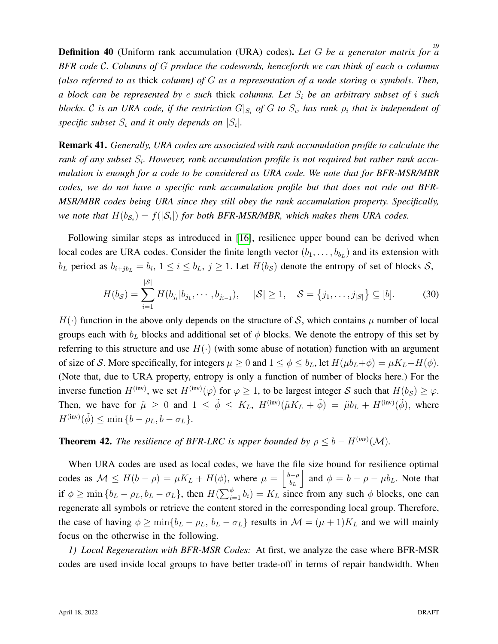29 Definition 40 (Uniform rank accumulation (URA) codes). *Let* G *be a generator matrix for a BFR code* C*. Columns of* G *produce the codewords, henceforth we can think of each* α *columns (also referred to as* thick *column) of* G *as a representation of a node storing* α *symbols. Then, a block can be represented by* c *such* thick *columns. Let* S<sup>i</sup> *be an arbitrary subset of* i *such blocks.*  $\cal C$  *is an URA code, if the restriction*  $G|_{S_i}$  *of*  $G$  *to*  $S_i$ *, has rank*  $\rho_i$  *that is independent of* specific subset  $S_i$  and it only depends on  $|S_i|$ .

Remark 41. *Generally, URA codes are associated with rank accumulation profile to calculate the* rank of any subset  $S_i$ . However, rank accumulation profile is not required but rather rank accu*mulation is enough for a code to be considered as URA code. We note that for BFR-MSR/MBR codes, we do not have a specific rank accumulation profile but that does not rule out BFR-MSR/MBR codes being URA since they still obey the rank accumulation property. Specifically,* we note that  $H(b_{\mathcal{S}_i}) = f(|\mathcal{S}_i|)$  for both BFR-MSR/MBR, which makes them URA codes.

Following similar steps as introduced in [\[16\]](#page-36-19), resilience upper bound can be derived when local codes are URA codes. Consider the finite length vector  $(b_1, \ldots, b_{b_L})$  and its extension with  $b_L$  period as  $b_{i+jb_L} = b_i$ ,  $1 \le i \le b_L$ ,  $j \ge 1$ . Let  $H(b_S)$  denote the entropy of set of blocks  $S$ ,

$$
H(b_{\mathcal{S}}) = \sum_{i=1}^{|\mathcal{S}|} H(b_{j_i}|b_{j_1}, \cdots, b_{j_{i-1}}), \quad |\mathcal{S}| \ge 1, \quad \mathcal{S} = \{j_1, \ldots, j_{|\mathcal{S}|}\} \subseteq [b]. \tag{30}
$$

 $H(\cdot)$  function in the above only depends on the structure of S, which contains  $\mu$  number of local groups each with  $b<sub>L</sub>$  blocks and additional set of  $\phi$  blocks. We denote the entropy of this set by referring to this structure and use  $H(\cdot)$  (with some abuse of notation) function with an argument of size of S. More specifically, for integers  $\mu \geq 0$  and  $1 \leq \phi \leq b_L$ , let  $H(\mu b_L + \phi) = \mu K_L + H(\phi)$ . (Note that, due to URA property, entropy is only a function of number of blocks here.) For the inverse function  $H^{(\text{inv})}$ , we set  $H^{(\text{inv})}(\varphi)$  for  $\varphi \ge 1$ , to be largest integer S such that  $H(b_{\mathcal{S}}) \ge \varphi$ . Then, we have for  $\tilde{\mu} \ge 0$  and  $1 \le \tilde{\phi} \le K_L$ ,  $H^{(\text{inv})}(\tilde{\mu}K_L + \tilde{\phi}) = \tilde{\mu}b_L + H^{(\text{inv})}(\tilde{\phi})$ , where  $H^{(\text{inv})}(\tilde{\phi}) \le \min\left\{b - \rho_L, b - \sigma_L\right\}.$ 

## **Theorem 42.** *The resilience of BFR-LRC is upper bounded by*  $\rho \leq b - H^{(inv)}(\mathcal{M})$ *.*

When URA codes are used as local codes, we have the file size bound for resilience optimal codes as  $\mathcal{M} \leq H(b - \rho) = \mu K_L + H(\phi)$ , where  $\mu = \begin{vmatrix} \frac{b-\rho}{b} \end{vmatrix}$  $b_L$ | and  $\phi = b - \rho - \mu b_L$ . Note that if  $\phi \ge \min\{b_L - \rho_L, b_L - \sigma_L\}$ , then  $H(\sum_{i=1}^{\phi} b_i) = K_L$  since from any such  $\phi$  blocks, one can regenerate all symbols or retrieve the content stored in the corresponding local group. Therefore, the case of having  $\phi \ge \min\{b_L - \rho_L, b_L - \sigma_L\}$  results in  $\mathcal{M} = (\mu + 1)K_L$  and we will mainly focus on the otherwise in the following.

*1) Local Regeneration with BFR-MSR Codes:* At first, we analyze the case where BFR-MSR codes are used inside local groups to have better trade-off in terms of repair bandwidth. When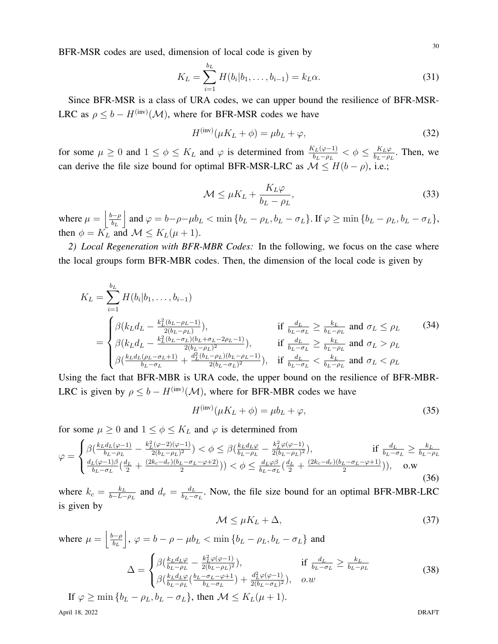BFR-MSR codes are used, dimension of local code is given by

$$
K_L = \sum_{i=1}^{b_L} H(b_i|b_1,\ldots,b_{i-1}) = k_L \alpha.
$$
 (31)

Since BFR-MSR is a class of URA codes, we can upper bound the resilience of BFR-MSR-LRC as  $\rho \leq b - H^{(\text{inv})}(\mathcal{M})$ , where for BFR-MSR codes we have

$$
H^{(\text{inv})}(\mu K_L + \phi) = \mu b_L + \varphi,\tag{32}
$$

for some  $\mu \ge 0$  and  $1 \le \phi \le K_L$  and  $\varphi$  is determined from  $\frac{K_L(\varphi-1)}{b_L-\rho_L} < \phi \le \frac{K_L\varphi}{b_L-\rho_L}$  $\frac{R_L \varphi}{b_L - \rho_L}$ . Then, we can derive the file size bound for optimal BFR-MSR-LRC as  $\mathcal{M} \leq H(b - \rho)$ , i.e.;

$$
\mathcal{M} \le \mu K_L + \frac{K_L \varphi}{b_L - \rho_L},\tag{33}
$$

where  $\mu = \frac{b-\rho}{b}$  $b_L$ and  $\varphi = b - \rho - \mu b_L < \min \{b_L - \rho_L, b_L - \sigma_L\}$ . If  $\varphi \ge \min \{b_L - \rho_L, b_L - \sigma_L\}$ , then  $\phi = K_L$  and  $\mathcal{M} \leq K_L(\mu + 1)$ .

*2) Local Regeneration with BFR-MBR Codes:* In the following, we focus on the case where the local groups form BFR-MBR codes. Then, the dimension of the local code is given by

$$
K_{L} = \sum_{i=1}^{b_{L}} H(b_{i}|b_{1},...,b_{i-1})
$$
\n
$$
= \begin{cases}\n\beta(k_{L}d_{L} - \frac{k_{L}^{2}(b_{L} - \rho_{L} - 1)}{2(b_{L} - \rho_{L})}), & \text{if } \frac{d_{L}}{b_{L} - \sigma_{L}} \geq \frac{k_{L}}{b_{L} - \rho_{L}} \text{ and } \sigma_{L} \leq \rho_{L} \\
\beta(k_{L}d_{L} - \frac{k_{L}^{2}(b_{L} - \sigma_{L})(b_{L} + \sigma_{L} - 2\rho_{L} - 1)}{2(b_{L} - \rho_{L})^{2}}), & \text{if } \frac{d_{L}}{b_{L} - \sigma_{L}} \geq \frac{k_{L}}{b_{L} - \rho_{L}} \text{ and } \sigma_{L} > \rho_{L} \\
\beta(\frac{k_{L}d_{L}(\rho_{L} - \sigma_{L} + 1)}{b_{L} - \sigma_{L}} + \frac{d_{L}^{2}(b_{L} - \rho_{L})(b_{L} - \rho_{L} - 1)}{2(b_{L} - \sigma_{L})^{2}}), & \text{if } \frac{d_{L}}{b_{L} - \sigma_{L}} < \frac{k_{L}}{b_{L} - \rho_{L}} \text{ and } \sigma_{L} < \rho_{L}\n\end{cases}
$$
\n(34)

Using the fact that BFR-MBR is URA code, the upper bound on the resilience of BFR-MBR-LRC is given by  $\rho \leq b - H^{(\text{inv})}(\mathcal{M})$ , where for BFR-MBR codes we have

$$
H^{(\text{inv})}(\mu K_L + \phi) = \mu b_L + \varphi,\tag{35}
$$

for some  $\mu \geq 0$  and  $1 \leq \phi \leq K_L$  and  $\varphi$  is determined from

$$
\varphi = \begin{cases} \beta \left( \frac{k_L d_L(\varphi - 1)}{b_L - \rho_L} - \frac{k_L^2 (\varphi - 2)(\varphi - 1)}{2(b_L - \rho_L)^2} \right) < \phi \le \beta \left( \frac{k_L d_L \varphi}{b_L - \rho_L} - \frac{k_L^2 \varphi(\varphi - 1)}{2(b_L - \rho_L)^2} \right), & \text{if } \frac{d_L}{b_L - \sigma_L} \ge \frac{k_L}{b_L - \rho_L} \\ \frac{d_L (\varphi - 1)\beta}{b_L - \sigma_L} \left( \frac{d_L}{2} + \frac{(2k_c - d_r)(b_L - \sigma_L - \varphi + 2)}{2} \right) < \phi \le \frac{d_L \varphi \beta}{b_L - \sigma_L} \left( \frac{d_L}{2} + \frac{(2k_c - d_r)(b_L - \sigma_L - \varphi + 1)}{2} \right) \right), & \text{o.w.} \end{cases} \tag{36}
$$

where  $k_c = \frac{k_L}{b - L}$  $\frac{k_L}{b-L-\rho_L}$  and  $d_r = \frac{d_L}{b_L-\rho_L}$  $\frac{d_L}{b_L - \sigma_L}$ . Now, the file size bound for an optimal BFR-MBR-LRC is given by

$$
\mathcal{M} \le \mu K_L + \Delta,\tag{37}
$$

where 
$$
\mu = \left[\frac{b-\rho}{b_L}\right], \varphi = b - \rho - \mu b_L < \min\left\{b_L - \rho_L, b_L - \sigma_L\right\}
$$
 and  
\n
$$
\Delta = \begin{cases} \beta\left(\frac{k_L d_L \varphi}{b_L - \rho_L} - \frac{k_L^2 \varphi(\varphi - 1)}{2(b_L - \rho_L)^2}\right), & \text{if } \frac{d_L}{b_L - \sigma_L} \ge \frac{k_L}{b_L - \rho_L} \\ \beta\left(\frac{k_L d_L \varphi}{b_L - \rho_L} \left(\frac{b_L - \sigma_L - \varphi + 1}{b_L - \sigma_L}\right) + \frac{d_L^2 \varphi(\varphi - 1)}{2(b_L - \sigma_L)^2}\right), & o.w \end{cases}
$$
\n(f  $\varphi \ge \min\left\{b_L - \rho_L, b_L - \sigma_L\right\}$ , then  $\mathcal{M} \le K_L(\mu + 1)$ . (38)

April 18, 2022 DRAFT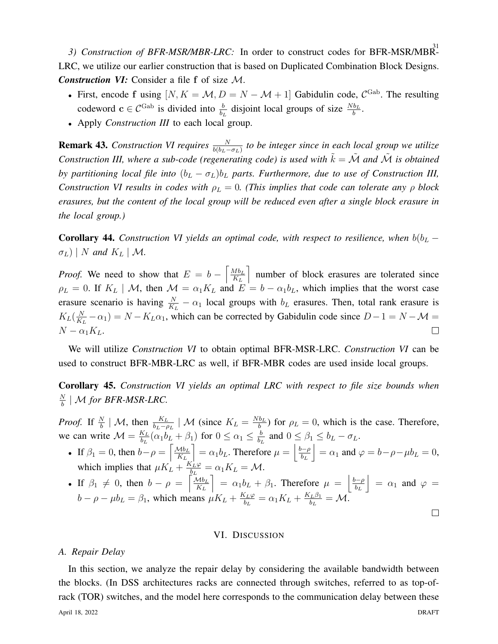3) Construction of BFR-MSR/MBR-LRC: In order to construct codes for BFR-MSR/MBR-LRC, we utilize our earlier construction that is based on Duplicated Combination Block Designs. *Construction VI:* Consider a file f of size M.

- First, encode f using  $[N, K = \mathcal{M}, D = N \mathcal{M} + 1]$  Gabidulin code,  $C^{\text{Gab}}$ . The resulting codeword  $c \in C^{\text{Gab}}$  is divided into  $\frac{b}{b_L}$  disjoint local groups of size  $\frac{Nb_L}{b}$ .
- Apply *Construction III* to each local group.

**Remark 43.** Construction VI requires  $\frac{N}{b(b_L-\sigma_L)}$  to be integer since in each local group we utilize *Construction III, where a sub-code (regenerating code) is used with*  $\tilde{k} = \tilde{M}$  *and*  $\tilde{M}$  *is obtained by partitioning local file into*  $(b_L - \sigma_L) b_L$  *parts. Furthermore, due to use of Construction III, Construction VI results in codes with*  $\rho_L = 0$ . (This implies that code can tolerate any  $\rho$  block *erasures, but the content of the local group will be reduced even after a single block erasure in the local group.)*

**Corollary 44.** *Construction VI yields an optimal code, with respect to resilience, when*  $b(b<sub>L</sub> - b<sub>L</sub>)$  $\sigma_L$ ) | N and  $K_L$  | M.

*Proof.* We need to show that  $E = b - \left[ \frac{Mb_L}{K_L} \right]$ m number of block erasures are tolerated since  $K_L$  $\rho_L = 0$ . If  $K_L \mid \mathcal{M}$ , then  $\mathcal{M} = \alpha_1 K_L$  and  $E = b - \alpha_1 b_L$ , which implies that the worst case erasure scenario is having  $\frac{N}{K_L} - \alpha_1$  local groups with  $b_L$  erasures. Then, total rank erasure is  $K_L(\frac{N}{K})$  $\frac{N}{K_L} - \alpha_1$ ) =  $N - K_L \alpha_1$ , which can be corrected by Gabidulin code since  $D - 1 = N - \mathcal{M} =$  $N - \alpha_1 K_L$ .  $\Box$ 

We will utilize *Construction VI* to obtain optimal BFR-MSR-LRC. *Construction VI* can be used to construct BFR-MBR-LRC as well, if BFR-MBR codes are used inside local groups.

Corollary 45. *Construction VI yields an optimal LRC with respect to file size bounds when*  $\overline{N}$  $\frac{N}{b}$  | M for BFR-MSR-LRC.

*Proof.* If  $\frac{N}{b}$  | M, then  $\frac{K_L}{b_L - \rho_L}$  | M (since  $K_L = \frac{Nb_L}{b}$  $\frac{b_L}{b}$ ) for  $\rho_L = 0$ , which is the case. Therefore, we can write  $\mathcal{M} = \frac{K_L}{b_L}$  $\frac{K_L}{b_L}(\alpha_1 b_L + \beta_1)$  for  $0 \leq \alpha_1 \leq \frac{b_L}{b_L}$  $\frac{b}{b_L}$  and  $0 \leq \beta_1 \leq b_L - \sigma_L$ .

- If  $\beta_1 = 0$ , then  $b \rho = \left[ \frac{\mathcal{M} b_L}{K_L} \right]$  $K_L$  $\big] = \alpha_1 b_L$ . Therefore  $\mu = \bigg| \frac{b - \rho}{b_L} \bigg|$  $b_L$  $\vert = \alpha_1$  and  $\varphi = b - \rho - \mu b_L = 0$ , which implies that  $\mu K_L + \frac{K_L \varphi}{h_L}$  $\frac{\delta_L \varphi}{\delta_L} = \alpha_1 K_L = \mathcal{M}.$
- If  $\beta_1 \neq 0$ , then  $b \rho = \left[\frac{\mu_{bL}}{K_L}\right]$  $\Big] = \alpha_1 b_L + \beta_1$ . Therefore  $\mu = \Big|\frac{b-\rho}{b_L}\Big|$  $\Big| = \alpha_1$  and  $\varphi =$  $K_L$  $b_L$  $\frac{K_L\varphi}{\sqrt{K}} = \alpha_L K_L + \frac{K_L\beta_1}{\sqrt{K}}$  $b - \rho - \mu b_L = \beta_1$ , which means  $\mu K_L + \frac{K_L \varphi}{b_L} = \alpha_1 K_L + \frac{K_L \beta_1}{b_L} = \mathcal{M}$ .  $\Box$

## VI. DISCUSSION

## <span id="page-30-0"></span>*A. Repair Delay*

In this section, we analyze the repair delay by considering the available bandwidth between the blocks. (In DSS architectures racks are connected through switches, referred to as top-ofrack (TOR) switches, and the model here corresponds to the communication delay between these April 18, 2022 DRAFT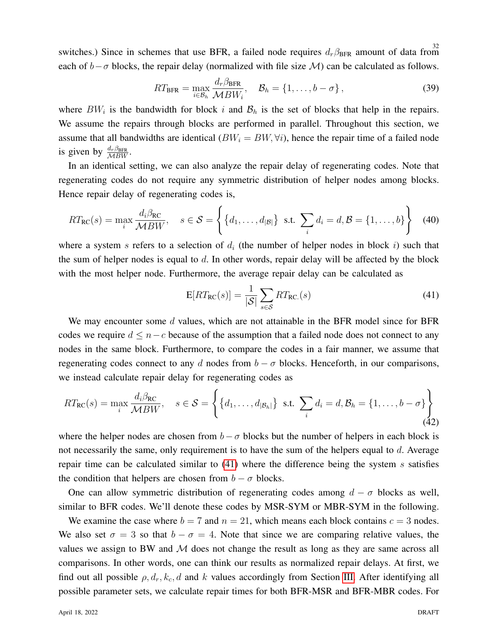switches.) Since in schemes that use BFR, a failed node requires  $d_r \beta_{\text{BFR}}$  amount of data from each of  $b-\sigma$  blocks, the repair delay (normalized with file size M) can be calculated as follows.

$$
RT_{\text{BFR}} = \max_{i \in \mathcal{B}_h} \frac{d_r \beta_{\text{BFR}}}{\mathcal{M} BW_i}, \quad \mathcal{B}_h = \{1, \dots, b - \sigma\},
$$
\n(39)

where  $BW_i$  is the bandwidth for block i and  $B_h$  is the set of blocks that help in the repairs. We assume the repairs through blocks are performed in parallel. Throughout this section, we assume that all bandwidths are identical  $(BW_i = BW, \forall i)$ , hence the repair time of a failed node is given by  $\frac{d_r \beta_{\text{BFR}}}{MBW}$ .

In an identical setting, we can also analyze the repair delay of regenerating codes. Note that regenerating codes do not require any symmetric distribution of helper nodes among blocks. Hence repair delay of regenerating codes is,

$$
RT_{\rm RC}(s) = \max_{i} \frac{d_i \beta_{\rm RC}}{\mathcal{M} BW}, \quad s \in \mathcal{S} = \left\{ \{d_1, \ldots, d_{|\mathcal{B}|} \} \text{ s.t. } \sum_{i} d_i = d, \mathcal{B} = \{1, \ldots, b\} \right\}
$$
(40)

where a system s refers to a selection of  $d_i$  (the number of helper nodes in block i) such that the sum of helper nodes is equal to  $d$ . In other words, repair delay will be affected by the block with the most helper node. Furthermore, the average repair delay can be calculated as

<span id="page-31-0"></span>
$$
E[RT_{RC}(s)] = \frac{1}{|S|} \sum_{s \in S} RT_{RC.}(s)
$$
\n(41)

We may encounter some  $d$  values, which are not attainable in the BFR model since for BFR codes we require  $d \leq n - c$  because of the assumption that a failed node does not connect to any nodes in the same block. Furthermore, to compare the codes in a fair manner, we assume that regenerating codes connect to any d nodes from  $b - \sigma$  blocks. Henceforth, in our comparisons, we instead calculate repair delay for regenerating codes as

$$
RT_{\rm RC}(s) = \max_{i} \frac{d_i \beta_{\rm RC}}{\mathcal{M} BW}, \quad s \in \mathcal{S} = \left\{ \left\{ d_1, \dots, d_{|\mathcal{B}_h|} \right\} \text{ s.t. } \sum_{i} d_i = d, \mathcal{B}_h = \left\{ 1, \dots, b - \sigma \right\} \right\}
$$
(42)

where the helper nodes are chosen from  $b - \sigma$  blocks but the number of helpers in each block is not necessarily the same, only requirement is to have the sum of the helpers equal to d. Average repair time can be calculated similar to  $(41)$  where the difference being the system s satisfies the condition that helpers are chosen from  $b - \sigma$  blocks.

One can allow symmetric distribution of regenerating codes among  $d - \sigma$  blocks as well, similar to BFR codes. We'll denote these codes by MSR-SYM or MBR-SYM in the following.

We examine the case where  $b = 7$  and  $n = 21$ , which means each block contains  $c = 3$  nodes. We also set  $\sigma = 3$  so that  $b - \sigma = 4$ . Note that since we are comparing relative values, the values we assign to BW and  $M$  does not change the result as long as they are same across all comparisons. In other words, one can think our results as normalized repair delays. At first, we find out all possible  $\rho$ ,  $d_r$ ,  $k_c$ , d and k values accordingly from Section [III.](#page-9-0) After identifying all possible parameter sets, we calculate repair times for both BFR-MSR and BFR-MBR codes. For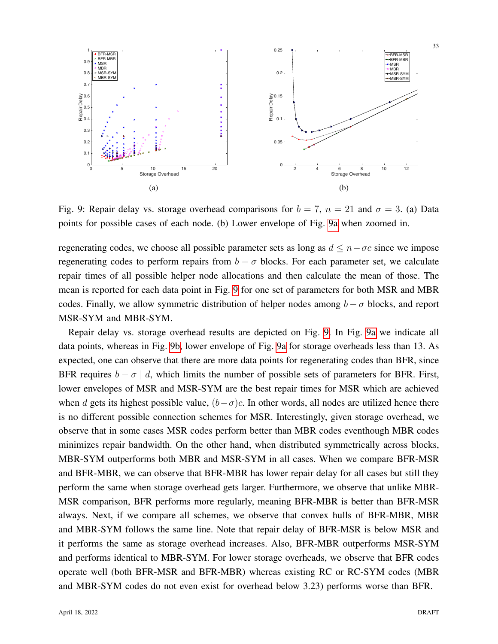<span id="page-32-0"></span>

Fig. 9: Repair delay vs. storage overhead comparisons for  $b = 7$ ,  $n = 21$  and  $\sigma = 3$ . (a) Data points for possible cases of each node. (b) Lower envelope of Fig. [9a](#page-32-0) when zoomed in.

regenerating codes, we choose all possible parameter sets as long as  $d \leq n - \sigma c$  since we impose regenerating codes to perform repairs from  $b - \sigma$  blocks. For each parameter set, we calculate repair times of all possible helper node allocations and then calculate the mean of those. The mean is reported for each data point in Fig. [9](#page-32-0) for one set of parameters for both MSR and MBR codes. Finally, we allow symmetric distribution of helper nodes among  $b - \sigma$  blocks, and report MSR-SYM and MBR-SYM.

Repair delay vs. storage overhead results are depicted on Fig. [9.](#page-32-0) In Fig. [9a](#page-32-0) we indicate all data points, whereas in Fig. [9b,](#page-32-0) lower envelope of Fig. [9a](#page-32-0) for storage overheads less than 13. As expected, one can observe that there are more data points for regenerating codes than BFR, since BFR requires  $b - \sigma \mid d$ , which limits the number of possible sets of parameters for BFR. First, lower envelopes of MSR and MSR-SYM are the best repair times for MSR which are achieved when d gets its highest possible value,  $(b-\sigma)c$ . In other words, all nodes are utilized hence there is no different possible connection schemes for MSR. Interestingly, given storage overhead, we observe that in some cases MSR codes perform better than MBR codes eventhough MBR codes minimizes repair bandwidth. On the other hand, when distributed symmetrically across blocks, MBR-SYM outperforms both MBR and MSR-SYM in all cases. When we compare BFR-MSR and BFR-MBR, we can observe that BFR-MBR has lower repair delay for all cases but still they perform the same when storage overhead gets larger. Furthermore, we observe that unlike MBR-MSR comparison, BFR performs more regularly, meaning BFR-MBR is better than BFR-MSR always. Next, if we compare all schemes, we observe that convex hulls of BFR-MBR, MBR and MBR-SYM follows the same line. Note that repair delay of BFR-MSR is below MSR and it performs the same as storage overhead increases. Also, BFR-MBR outperforms MSR-SYM and performs identical to MBR-SYM. For lower storage overheads, we observe that BFR codes operate well (both BFR-MSR and BFR-MBR) whereas existing RC or RC-SYM codes (MBR and MBR-SYM codes do not even exist for overhead below 3.23) performs worse than BFR.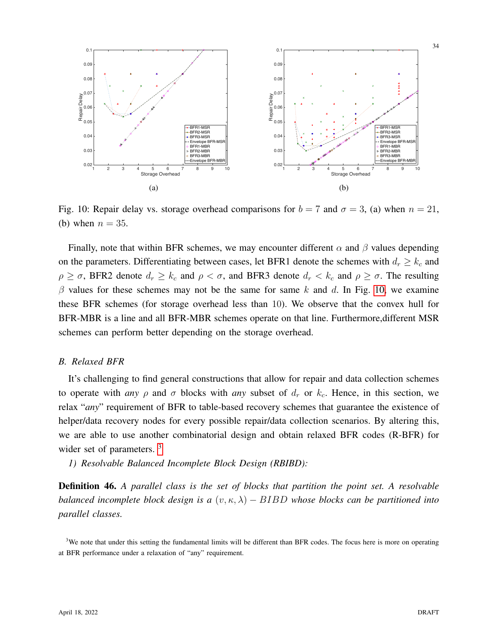<span id="page-33-0"></span>

Fig. 10: Repair delay vs. storage overhead comparisons for  $b = 7$  and  $\sigma = 3$ , (a) when  $n = 21$ , (b) when  $n = 35$ .

Finally, note that within BFR schemes, we may encounter different  $\alpha$  and  $\beta$  values depending on the parameters. Differentiating between cases, let BFR1 denote the schemes with  $d_r \geq k_c$  and  $\rho \geq \sigma$ , BFR2 denote  $d_r \geq k_c$  and  $\rho < \sigma$ , and BFR3 denote  $d_r < k_c$  and  $\rho \geq \sigma$ . The resulting  $\beta$  values for these schemes may not be the same for same k and d. In Fig. [10,](#page-33-0) we examine these BFR schemes (for storage overhead less than 10). We observe that the convex hull for BFR-MBR is a line and all BFR-MBR schemes operate on that line. Furthermore,different MSR schemes can perform better depending on the storage overhead.

## *B. Relaxed BFR*

It's challenging to find general constructions that allow for repair and data collection schemes to operate with *any*  $\rho$  and  $\sigma$  blocks with *any* subset of  $d_r$  or  $k_c$ . Hence, in this section, we relax "*any*" requirement of BFR to table-based recovery schemes that guarantee the existence of helper/data recovery nodes for every possible repair/data collection scenarios. By altering this, we are able to use another combinatorial design and obtain relaxed BFR codes (R-BFR) for wider set of parameters.<sup>[3](#page-33-1)</sup>

*1) Resolvable Balanced Incomplete Block Design (RBIBD):*

Definition 46. *A parallel class is the set of blocks that partition the point set. A resolvable balanced incomplete block design is a*  $(v, \kappa, \lambda) - BIBD$  *whose blocks can be partitioned into parallel classes.*

<span id="page-33-1"></span><sup>&</sup>lt;sup>3</sup>We note that under this setting the fundamental limits will be different than BFR codes. The focus here is more on operating at BFR performance under a relaxation of "any" requirement.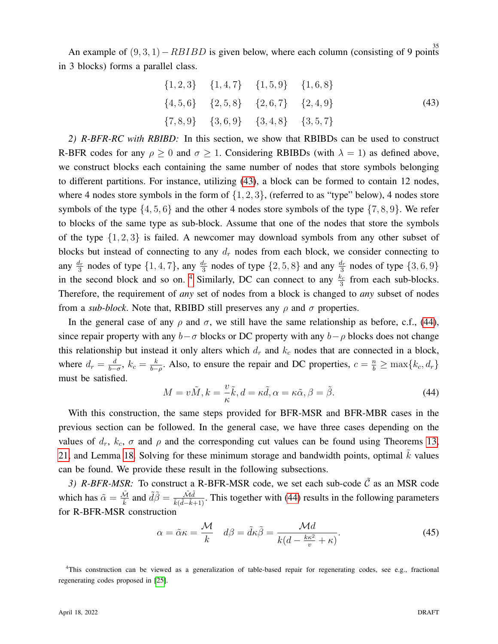An example of  $(9,3,1) - RBIBD$  is given below, where each column (consisting of 9 points in 3 blocks) forms a parallel class.

$$
\{1, 2, 3\} \{1, 4, 7\} \{1, 5, 9\} \{1, 6, 8\} \n\{4, 5, 6\} \{2, 5, 8\} \{2, 6, 7\} \{2, 4, 9\} \n\{7, 8, 9\} \{3, 6, 9\} \{3, 4, 8\} \{3, 5, 7\}
$$
\n
$$
(43)
$$

<span id="page-34-0"></span>*2) R-BFR-RC with RBIBD:* In this section, we show that RBIBDs can be used to construct R-BFR codes for any  $\rho \ge 0$  and  $\sigma \ge 1$ . Considering RBIBDs (with  $\lambda = 1$ ) as defined above, we construct blocks each containing the same number of nodes that store symbols belonging to different partitions. For instance, utilizing [\(43\)](#page-34-0), a block can be formed to contain 12 nodes, where 4 nodes store symbols in the form of  $\{1, 2, 3\}$ , (referred to as "type" below), 4 nodes store symbols of the type  $\{4, 5, 6\}$  and the other 4 nodes store symbols of the type  $\{7, 8, 9\}$ . We refer to blocks of the same type as sub-block. Assume that one of the nodes that store the symbols of the type  $\{1, 2, 3\}$  is failed. A newcomer may download symbols from any other subset of blocks but instead of connecting to any  $d_r$  nodes from each block, we consider connecting to any  $\frac{d_r}{3}$  nodes of type  $\{1, 4, 7\}$ , any  $\frac{d_r}{3}$  nodes of type  $\{2, 5, 8\}$  and any  $\frac{d_r}{3}$  nodes of type  $\{3, 6, 9\}$ in the second block and so on. <sup>[4](#page-34-1)</sup> Similarly, DC can connect to any  $\frac{k_c}{3}$  from each sub-blocks. Therefore, the requirement of *any* set of nodes from a block is changed to *any* subset of nodes from a *sub-block*. Note that, RBIBD still preserves any  $\rho$  and  $\sigma$  properties.

In the general case of any  $\rho$  and  $\sigma$ , we still have the same relationship as before, c.f., [\(44\)](#page-34-2), since repair property with any  $b-\sigma$  blocks or DC property with any  $b-\rho$  blocks does not change this relationship but instead it only alters which  $d_r$  and  $k_c$  nodes that are connected in a block, where  $d_r = \frac{d}{b_r}$  $\frac{d}{b-\sigma},\ k_c=\frac{k}{b-}$  $\frac{k}{b-\rho}$ . Also, to ensure the repair and DC properties,  $c = \frac{n}{b} \ge \max\{k_c, d_r\}$ must be satisfied.

<span id="page-34-2"></span>
$$
M = v\tilde{M}, k = \frac{v}{\kappa}\tilde{k}, d = \kappa\tilde{d}, \alpha = \kappa\tilde{\alpha}, \beta = \tilde{\beta}.
$$
 (44)

With this construction, the same steps provided for BFR-MSR and BFR-MBR cases in the previous section can be followed. In the general case, we have three cases depending on the values of  $d_r$ ,  $k_c$ ,  $\sigma$  and  $\rho$  and the corresponding cut values can be found using Theorems [13,](#page-10-1) [21,](#page-14-1) and Lemma [18.](#page-13-0) Solving for these minimum storage and bandwidth points, optimal  $k$  values can be found. We provide these result in the following subsections.

*3) R-BFR-MSR:* To construct a R-BFR-MSR code, we set each sub-code  $\tilde{C}$  as an MSR code which has  $\tilde{\alpha} = \frac{\tilde{\mathcal{M}}}{\tilde{k}}$  and  $\tilde{d}\tilde{\beta} = \frac{\tilde{\mathcal{M}}\tilde{d}}{\tilde{k}(\tilde{d}-\tilde{k}+1)}$ . This together with [\(44\)](#page-34-2) results in the following parameters for R-BFR-MSR construction

$$
\alpha = \tilde{\alpha}\kappa = \frac{\mathcal{M}}{k} \quad d\beta = \tilde{d}\kappa\tilde{\beta} = \frac{\mathcal{M}d}{k(d - \frac{k\kappa^2}{v} + \kappa)}.
$$
\n(45)

<span id="page-34-1"></span><sup>4</sup>This construction can be viewed as a generalization of table-based repair for regenerating codes, see e.g., fractional regenerating codes proposed in [\[25\]](#page-37-1).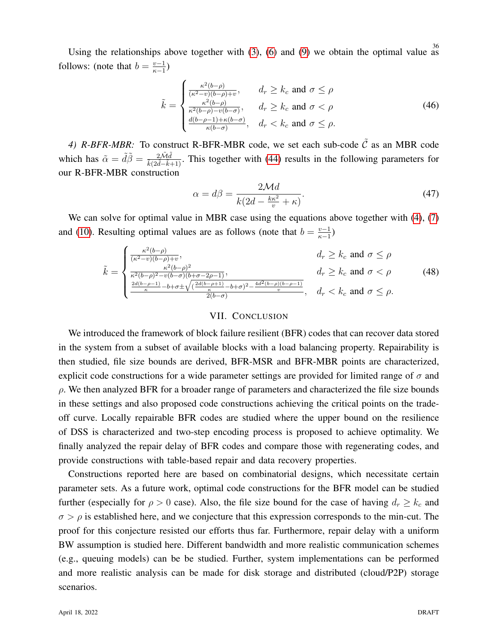Using the relationships above together with [\(3\)](#page-12-1), [\(6\)](#page-13-2) and [\(9\)](#page-14-2) we obtain the optimal value as follows: (note that  $b = \frac{v-1}{v-1}$  $\frac{v-1}{\kappa-1})$ 

$$
\tilde{k} = \begin{cases}\n\frac{\kappa^2(b-\rho)}{(\kappa^2 - v)(b-\rho) + v}, & d_r \ge k_c \text{ and } \sigma \le \rho \\
\frac{\kappa^2(b-\rho)}{\kappa^2(b-\rho) - v(b-\sigma)}, & d_r \ge k_c \text{ and } \sigma < \rho \\
\frac{d(b-\rho-1) + \kappa(b-\sigma)}{\kappa(b-\sigma)}, & d_r < k_c \text{ and } \sigma \le \rho.\n\end{cases}
$$
\n(46)

4) R-BFR-MBR: To construct R-BFR-MBR code, we set each sub-code  $\tilde{C}$  as an MBR code which has  $\tilde{\alpha} = \tilde{d}\tilde{\beta} = \frac{2\tilde{M}\tilde{d}}{\tilde{k}(2\tilde{d}-\tilde{k}+1)}$ . This together with [\(44\)](#page-34-2) results in the following parameters for our R-BFR-MBR construction

$$
\alpha = d\beta = \frac{2\mathcal{M}d}{k(2d - \frac{k\kappa^2}{v} + \kappa)}.
$$
\n(47)

We can solve for optimal value in MBR case using the equations above together with  $(4)$ ,  $(7)$ and [\(10\)](#page-15-2). Resulting optimal values are as follows (note that  $b = \frac{v-1}{v-1}$  $\frac{v-1}{\kappa-1})$ 

$$
\tilde{k} = \begin{cases}\n\frac{\kappa^2(b-\rho)}{(\kappa^2 - v)(b-\rho)+v}, & d_r \ge k_c \text{ and } \sigma \le \rho \\
\frac{\kappa^2(b-\rho)^2}{\kappa^2(b-\rho)^2 - v(b-\sigma)(b+\sigma-2\rho-1)}, & d_r \ge k_c \text{ and } \sigma < \rho \\
\frac{\frac{2d(b-\rho-1)}{\kappa} - b + \sigma \pm \sqrt{(\frac{2d(b-\rho+1)}{\kappa} - b + \sigma)^2 - \frac{4d^2(b-\rho)(b-\rho-1)}{v}}}{2(b-\sigma)}, & d_r < k_c \text{ and } \sigma \le \rho.\n\end{cases}
$$
\n(48)

## VII. CONCLUSION

<span id="page-35-0"></span>We introduced the framework of block failure resilient (BFR) codes that can recover data stored in the system from a subset of available blocks with a load balancing property. Repairability is then studied, file size bounds are derived, BFR-MSR and BFR-MBR points are characterized, explicit code constructions for a wide parameter settings are provided for limited range of  $\sigma$  and  $\rho$ . We then analyzed BFR for a broader range of parameters and characterized the file size bounds in these settings and also proposed code constructions achieving the critical points on the tradeoff curve. Locally repairable BFR codes are studied where the upper bound on the resilience of DSS is characterized and two-step encoding process is proposed to achieve optimality. We finally analyzed the repair delay of BFR codes and compare those with regenerating codes, and provide constructions with table-based repair and data recovery properties.

Constructions reported here are based on combinatorial designs, which necessitate certain parameter sets. As a future work, optimal code constructions for the BFR model can be studied further (especially for  $\rho > 0$  case). Also, the file size bound for the case of having  $d_r \geq k_c$  and  $\sigma > \rho$  is established here, and we conjecture that this expression corresponds to the min-cut. The proof for this conjecture resisted our efforts thus far. Furthermore, repair delay with a uniform BW assumption is studied here. Different bandwidth and more realistic communication schemes (e.g., queuing models) can be be studied. Further, system implementations can be performed and more realistic analysis can be made for disk storage and distributed (cloud/P2P) storage scenarios.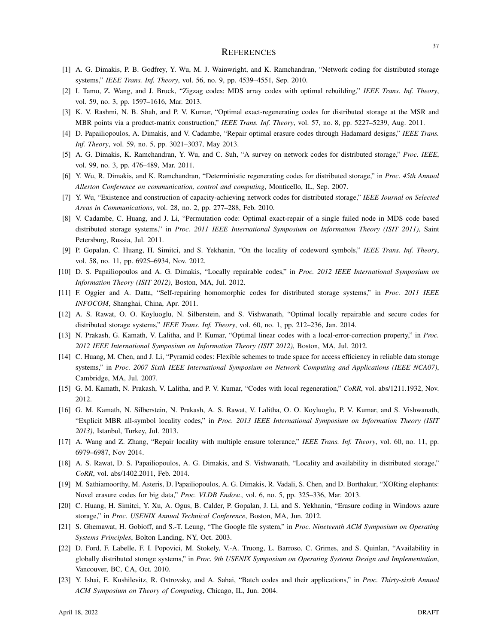#### **REFERENCES**

- <span id="page-36-0"></span>[1] A. G. Dimakis, P. B. Godfrey, Y. Wu, M. J. Wainwright, and K. Ramchandran, "Network coding for distributed storage systems," *IEEE Trans. Inf. Theory*, vol. 56, no. 9, pp. 4539–4551, Sep. 2010.
- <span id="page-36-1"></span>[2] I. Tamo, Z. Wang, and J. Bruck, "Zigzag codes: MDS array codes with optimal rebuilding," *IEEE Trans. Inf. Theory*, vol. 59, no. 3, pp. 1597–1616, Mar. 2013.
- <span id="page-36-13"></span>[3] K. V. Rashmi, N. B. Shah, and P. V. Kumar, "Optimal exact-regenerating codes for distributed storage at the MSR and MBR points via a product-matrix construction," *IEEE Trans. Inf. Theory*, vol. 57, no. 8, pp. 5227–5239, Aug. 2011.
- <span id="page-36-14"></span>[4] D. Papailiopoulos, A. Dimakis, and V. Cadambe, "Repair optimal erasure codes through Hadamard designs," *IEEE Trans. Inf. Theory*, vol. 59, no. 5, pp. 3021–3037, May 2013.
- [5] A. G. Dimakis, K. Ramchandran, Y. Wu, and C. Suh, "A survey on network codes for distributed storage," *Proc. IEEE*, vol. 99, no. 3, pp. 476–489, Mar. 2011.
- <span id="page-36-11"></span>[6] Y. Wu, R. Dimakis, and K. Ramchandran, "Deterministic regenerating codes for distributed storage," in *Proc. 45th Annual Allerton Conference on communication, control and computing*, Monticello, IL, Sep. 2007.
- <span id="page-36-12"></span>[7] Y. Wu, "Existence and construction of capacity-achieving network codes for distributed storage," *IEEE Journal on Selected Areas in Communications*, vol. 28, no. 2, pp. 277–288, Feb. 2010.
- <span id="page-36-2"></span>[8] V. Cadambe, C. Huang, and J. Li, "Permutation code: Optimal exact-repair of a single failed node in MDS code based distributed storage systems," in *Proc. 2011 IEEE International Symposium on Information Theory (ISIT 2011)*, Saint Petersburg, Russia, Jul. 2011.
- <span id="page-36-3"></span>[9] P. Gopalan, C. Huang, H. Simitci, and S. Yekhanin, "On the locality of codeword symbols," *IEEE Trans. Inf. Theory*, vol. 58, no. 11, pp. 6925–6934, Nov. 2012.
- <span id="page-36-18"></span>[10] D. S. Papailiopoulos and A. G. Dimakis, "Locally repairable codes," in *Proc. 2012 IEEE International Symposium on Information Theory (ISIT 2012)*, Boston, MA, Jul. 2012.
- <span id="page-36-15"></span>[11] F. Oggier and A. Datta, "Self-repairing homomorphic codes for distributed storage systems," in *Proc. 2011 IEEE INFOCOM*, Shanghai, China, Apr. 2011.
- <span id="page-36-10"></span>[12] A. S. Rawat, O. O. Koyluoglu, N. Silberstein, and S. Vishwanath, "Optimal locally repairable and secure codes for distributed storage systems," *IEEE Trans. Inf. Theory*, vol. 60, no. 1, pp. 212–236, Jan. 2014.
- <span id="page-36-17"></span>[13] N. Prakash, G. Kamath, V. Lalitha, and P. Kumar, "Optimal linear codes with a local-error-correction property," in *Proc. 2012 IEEE International Symposium on Information Theory (ISIT 2012)*, Boston, MA, Jul. 2012.
- <span id="page-36-16"></span>[14] C. Huang, M. Chen, and J. Li, "Pyramid codes: Flexible schemes to trade space for access efficiency in reliable data storage systems," in *Proc. 2007 Sixth IEEE International Symposium on Network Computing and Applications (IEEE NCA07)*, Cambridge, MA, Jul. 2007.
- [15] G. M. Kamath, N. Prakash, V. Lalitha, and P. V. Kumar, "Codes with local regeneration," *CoRR*, vol. abs/1211.1932, Nov. 2012.
- <span id="page-36-19"></span>[16] G. M. Kamath, N. Silberstein, N. Prakash, A. S. Rawat, V. Lalitha, O. O. Koyluoglu, P. V. Kumar, and S. Vishwanath, "Explicit MBR all-symbol locality codes," in *Proc. 2013 IEEE International Symposium on Information Theory (ISIT 2013)*, Istanbul, Turkey, Jul. 2013.
- [17] A. Wang and Z. Zhang, "Repair locality with multiple erasure tolerance," *IEEE Trans. Inf. Theory*, vol. 60, no. 11, pp. 6979–6987, Nov 2014.
- <span id="page-36-4"></span>[18] A. S. Rawat, D. S. Papailiopoulos, A. G. Dimakis, and S. Vishwanath, "Locality and availability in distributed storage," *CoRR*, vol. abs/1402.2011, Feb. 2014.
- <span id="page-36-5"></span>[19] M. Sathiamoorthy, M. Asteris, D. Papailiopoulos, A. G. Dimakis, R. Vadali, S. Chen, and D. Borthakur, "XORing elephants: Novel erasure codes for big data," *Proc. VLDB Endow.*, vol. 6, no. 5, pp. 325–336, Mar. 2013.
- <span id="page-36-6"></span>[20] C. Huang, H. Simitci, Y. Xu, A. Ogus, B. Calder, P. Gopalan, J. Li, and S. Yekhanin, "Erasure coding in Windows azure storage," in *Proc. USENIX Annual Technical Conference*, Boston, MA, Jun. 2012.
- <span id="page-36-7"></span>[21] S. Ghemawat, H. Gobioff, and S.-T. Leung, "The Google file system," in *Proc. Nineteenth ACM Symposium on Operating Systems Principles*, Bolton Landing, NY, Oct. 2003.
- <span id="page-36-8"></span>[22] D. Ford, F. Labelle, F. I. Popovici, M. Stokely, V.-A. Truong, L. Barroso, C. Grimes, and S. Quinlan, "Availability in globally distributed storage systems," in *Proc. 9th USENIX Symposium on Operating Systems Design and Implementation*, Vancouver, BC, CA, Oct. 2010.
- <span id="page-36-9"></span>[23] Y. Ishai, E. Kushilevitz, R. Ostrovsky, and A. Sahai, "Batch codes and their applications," in *Proc. Thirty-sixth Annual ACM Symposium on Theory of Computing*, Chicago, IL, Jun. 2004.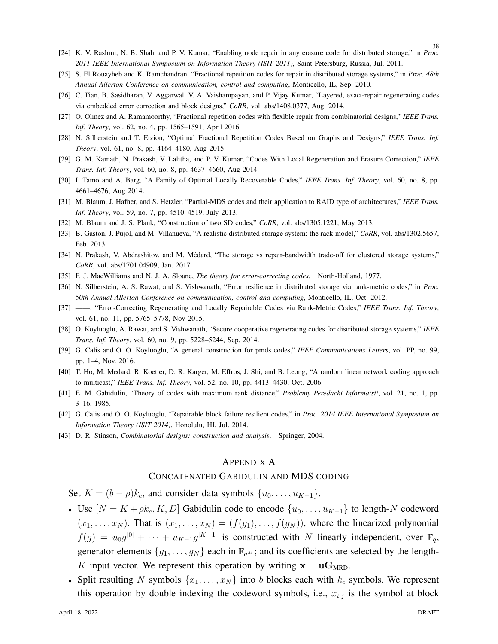38

- <span id="page-37-0"></span>[24] K. V. Rashmi, N. B. Shah, and P. V. Kumar, "Enabling node repair in any erasure code for distributed storage," in *Proc. 2011 IEEE International Symposium on Information Theory (ISIT 2011)*, Saint Petersburg, Russia, Jul. 2011.
- <span id="page-37-1"></span>[25] S. El Rouayheb and K. Ramchandran, "Fractional repetition codes for repair in distributed storage systems," in *Proc. 48th Annual Allerton Conference on communication, control and computing*, Monticello, IL, Sep. 2010.
- <span id="page-37-2"></span>[26] C. Tian, B. Sasidharan, V. Aggarwal, V. A. Vaishampayan, and P. Vijay Kumar, "Layered, exact-repair regenerating codes via embedded error correction and block designs," *CoRR*, vol. abs/1408.0377, Aug. 2014.
- [27] O. Olmez and A. Ramamoorthy, "Fractional repetition codes with flexible repair from combinatorial designs," *IEEE Trans. Inf. Theory*, vol. 62, no. 4, pp. 1565–1591, April 2016.
- <span id="page-37-3"></span>[28] N. Silberstein and T. Etzion, "Optimal Fractional Repetition Codes Based on Graphs and Designs," *IEEE Trans. Inf. Theory*, vol. 61, no. 8, pp. 4164–4180, Aug 2015.
- <span id="page-37-4"></span>[29] G. M. Kamath, N. Prakash, V. Lalitha, and P. V. Kumar, "Codes With Local Regeneration and Erasure Correction," *IEEE Trans. Inf. Theory*, vol. 60, no. 8, pp. 4637–4660, Aug 2014.
- <span id="page-37-5"></span>[30] I. Tamo and A. Barg, "A Family of Optimal Locally Recoverable Codes," *IEEE Trans. Inf. Theory*, vol. 60, no. 8, pp. 4661–4676, Aug 2014.
- <span id="page-37-6"></span>[31] M. Blaum, J. Hafner, and S. Hetzler, "Partial-MDS codes and their application to RAID type of architectures," *IEEE Trans. Inf. Theory*, vol. 59, no. 7, pp. 4510–4519, July 2013.
- <span id="page-37-7"></span>[32] M. Blaum and J. S. Plank, "Construction of two SD codes," *CoRR*, vol. abs/1305.1221, May 2013.
- <span id="page-37-8"></span>[33] B. Gaston, J. Pujol, and M. Villanueva, "A realistic distributed storage system: the rack model," *CoRR*, vol. abs/1302.5657, Feb. 2013.
- <span id="page-37-9"></span>[34] N. Prakash, V. Abdrashitov, and M. Medard, "The storage vs repair-bandwidth trade-off for clustered storage systems," ´ *CoRR*, vol. abs/1701.04909, Jan. 2017.
- <span id="page-37-10"></span>[35] F. J. MacWilliams and N. J. A. Sloane, *The theory for error-correcting codes*. North-Holland, 1977.
- <span id="page-37-12"></span>[36] N. Silberstein, A. S. Rawat, and S. Vishwanath, "Error resilience in distributed storage via rank-metric codes," in *Proc. 50th Annual Allerton Conference on communication, control and computing*, Monticello, IL, Oct. 2012.
- <span id="page-37-13"></span>[37] ——, "Error-Correcting Regenerating and Locally Repairable Codes via Rank-Metric Codes," *IEEE Trans. Inf. Theory*, vol. 61, no. 11, pp. 5765–5778, Nov 2015.
- <span id="page-37-14"></span>[38] O. Koyluoglu, A. Rawat, and S. Vishwanath, "Secure cooperative regenerating codes for distributed storage systems," *IEEE Trans. Inf. Theory*, vol. 60, no. 9, pp. 5228–5244, Sep. 2014.
- <span id="page-37-15"></span>[39] G. Calis and O. O. Koyluoglu, "A general construction for pmds codes," *IEEE Communications Letters*, vol. PP, no. 99, pp. 1–4, Nov. 2016.
- <span id="page-37-16"></span>[40] T. Ho, M. Medard, R. Koetter, D. R. Karger, M. Effros, J. Shi, and B. Leong, "A random linear network coding approach to multicast," *IEEE Trans. Inf. Theory*, vol. 52, no. 10, pp. 4413–4430, Oct. 2006.
- <span id="page-37-17"></span>[41] E. M. Gabidulin, "Theory of codes with maximum rank distance," *Problemy Peredachi Informatsii*, vol. 21, no. 1, pp. 3–16, 1985.
- <span id="page-37-18"></span>[42] G. Calis and O. O. Koyluoglu, "Repairable block failure resilient codes," in *Proc. 2014 IEEE International Symposium on Information Theory (ISIT 2014)*, Honolulu, HI, Jul. 2014.
- <span id="page-37-19"></span>[43] D. R. Stinson, *Combinatorial designs: construction and analysis*. Springer, 2004.

## <span id="page-37-11"></span>APPENDIX A

## CONCATENATED GABIDULIN AND MDS CODING

Set  $K = (b - \rho)k_c$ , and consider data symbols  $\{u_0, \ldots, u_{K-1}\}.$ 

- Use  $[N = K + \rho k_c, K, D]$  Gabidulin code to encode  $\{u_0, \ldots, u_{K-1}\}\$  to length-N codeword  $(x_1, \ldots, x_N)$ . That is  $(x_1, \ldots, x_N) = (f(g_1), \ldots, f(g_N))$ , where the linearized polynomial  $f(g) = u_0 g^{[0]} + \cdots + u_{K-1} g^{[K-1]}$  is constructed with N linearly independent, over  $\mathbb{F}_q$ , generator elements  $\{g_1, \ldots, g_N\}$  each in  $\mathbb{F}_{q^M}$ ; and its coefficients are selected by the length-K input vector. We represent this operation by writing  $x = uG_{MRD}$ .
- Split resulting N symbols  $\{x_1, \ldots, x_N\}$  into b blocks each with  $k_c$  symbols. We represent this operation by double indexing the codeword symbols, i.e.,  $x_{i,j}$  is the symbol at block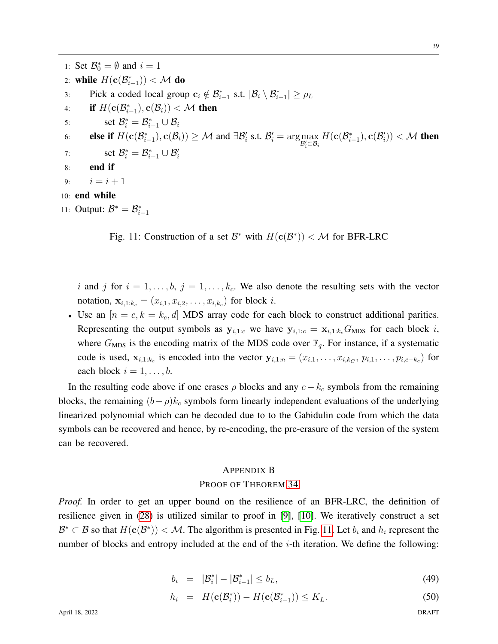<span id="page-38-1"></span>1: Set  $\mathcal{B}_0^* = \emptyset$  and  $i = 1$ 2: while  $H(c(\mathcal{B}_{i-1}^*)) < \mathcal{M}$  do 3: Pick a coded local group  $\mathbf{c}_i \notin \mathcal{B}_{i-1}^*$  s.t.  $|\mathcal{B}_i \setminus \mathcal{B}_{i-1}^*| \ge \rho_L$ 4: if  $H(c(\mathcal{B}_{i-1}^*), c(\mathcal{B}_i)) < \mathcal{M}$  then 5: set  $\mathcal{B}_i^* = \mathcal{B}_{i-1}^* \cup \mathcal{B}_i$ 6: **else if**  $H(c(\mathcal{B}_{i-1}^*), c(\mathcal{B}_i)) \geq \mathcal{M}$  and  $\exists \mathcal{B}_i^{\prime}$  s.t.  $\mathcal{B}_i^{\prime} = \arg \max_{\mathcal{B}_i^{\prime} \subset \mathcal{B}_i} H(c(\mathcal{B}_{i-1}^*), c(\mathcal{B}_i^{\prime})) < \mathcal{M}$  then 7: set  $\mathcal{B}_i^* = \mathcal{B}_{i-1}^* \cup \mathcal{B}_i'$ 8: end if 9:  $i = i + 1$ 10: end while 11: Output:  $\mathcal{B}^* = \mathcal{B}_{i-1}^*$ 

Fig. 11: Construction of a set  $\mathcal{B}^*$  with  $H(\mathbf{c}(\mathcal{B}^*)) < \mathcal{M}$  for BFR-LRC

i and j for  $i = 1, \ldots, b$ ,  $j = 1, \ldots, k_c$ . We also denote the resulting sets with the vector notation,  $x_{i,1:k_c} = (x_{i,1}, x_{i,2}, \ldots, x_{i,k_c})$  for block *i*.

• Use an  $[n = c, k = k_c, d]$  MDS array code for each block to construct additional parities. Representing the output symbols as  $y_{i,1:c}$  we have  $y_{i,1:c} = x_{i,1:k,c}G_{MDS}$  for each block i, where  $G_{\text{MDS}}$  is the encoding matrix of the MDS code over  $\mathbb{F}_q$ . For instance, if a systematic code is used,  $\mathbf{x}_{i,1:k_c}$  is encoded into the vector  $\mathbf{y}_{i,1:n} = (x_{i,1}, \ldots, x_{i,k_C}, p_{i,1}, \ldots, p_{i,c-k_c})$  for each block  $i = 1, \ldots, b$ .

In the resulting code above if one erases  $\rho$  blocks and any  $c - k_c$  symbols from the remaining blocks, the remaining  $(b-\rho)k_c$  symbols form linearly independent evaluations of the underlying linearized polynomial which can be decoded due to to the Gabidulin code from which the data symbols can be recovered and hence, by re-encoding, the pre-erasure of the version of the system can be recovered.

## <span id="page-38-0"></span>APPENDIX B

## PROOF OF THEOREM [34](#page-25-1)

*Proof.* In order to get an upper bound on the resilience of an BFR-LRC, the definition of resilience given in [\(28\)](#page-24-1) is utilized similar to proof in [\[9\]](#page-36-3), [\[10\]](#page-36-18). We iteratively construct a set  $\mathcal{B}^* \subset \mathcal{B}$  so that  $H(c(\mathcal{B}^*)) < \mathcal{M}$ . The algorithm is presented in Fig. [11.](#page-38-1) Let  $b_i$  and  $h_i$  represent the number of blocks and entropy included at the end of the  $i$ -th iteration. We define the following:

<span id="page-38-2"></span>
$$
b_i = |\mathcal{B}_i^*| - |\mathcal{B}_{i-1}^*| \le b_L, \tag{49}
$$

$$
h_i = H(\mathbf{c}(\mathcal{B}_i^*)) - H(\mathbf{c}(\mathcal{B}_{i-1}^*)) \le K_L.
$$
 (50)